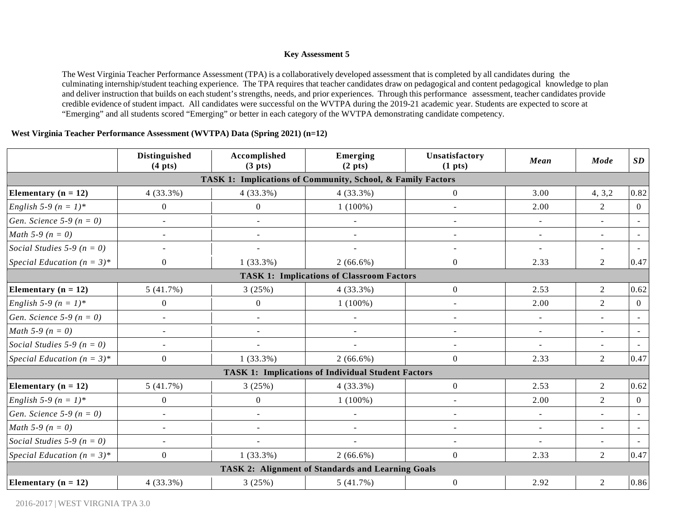#### **Key Assessment 5**

The West Virginia Teacher Performance Assessment (TPA) is a collaboratively developed assessment that is completed by all candidates during the culminating internship/student teaching experience. The TPA requires that teacher candidates draw on pedagogical and content pedagogical knowledge to plan and deliver instruction that builds on each student's strengths, needs, and prior experiences. Through this performance assessment, teacher candidates provide credible evidence of student impact. All candidates were successful on the WVTPA during the 2019-21 academic year. Students are expected to score at "Emerging" and all students scored "Emerging" or better in each category of the WVTPA demonstrating candidate competency.

#### **West Virginia Teacher Performance Assessment (WVTPA) Data (Spring 2021) (n=12)**

|                                     | <b>Distinguished</b><br>$(4 \text{ pts})$ | Accomplished<br>(3 <sub>p</sub> its)                        | Emerging<br>(2 <sub>p</sub> ts)                           | Unsatisfactory<br>(1 <sub>pts</sub> ) | Mean           | Mode                     | SD             |
|-------------------------------------|-------------------------------------------|-------------------------------------------------------------|-----------------------------------------------------------|---------------------------------------|----------------|--------------------------|----------------|
|                                     |                                           | TASK 1: Implications of Community, School, & Family Factors |                                                           |                                       |                |                          |                |
| Elementary $(n = 12)$               | $4(33.3\%)$                               | $4(33.3\%)$                                                 | $4(33.3\%)$                                               | $\overline{0}$                        | 3.00           | 4, 3, 2                  | 0.82           |
| English 5-9 ( $n = 1$ )*            | $\overline{0}$                            | $\overline{0}$                                              | $1(100\%)$                                                | $\blacksquare$                        | 2.00           | 2                        | $\overline{0}$ |
| <i>Gen. Science</i> 5-9 ( $n = 0$ ) | $\blacksquare$                            | $\overline{\phantom{a}}$                                    | $\overline{\phantom{a}}$                                  | $\blacksquare$                        | $\blacksquare$ |                          | $\sim$         |
| <i>Math</i> 5-9 ( $n = 0$ )         | $\sim$                                    |                                                             | $\blacksquare$                                            | $\blacksquare$                        | $\sim$         | $\mathbf{r}$             |                |
| Social Studies 5-9 ( $n = 0$ )      | $\blacksquare$                            |                                                             |                                                           | $\overline{\phantom{a}}$              | $\sim$         | $\blacksquare$           |                |
| Special Education $(n = 3)^*$       | $\overline{0}$                            | $1(33.3\%)$                                                 | $2(66.6\%)$                                               | $\overline{0}$                        | 2.33           | $\overline{2}$           | 0.47           |
|                                     |                                           |                                                             | <b>TASK 1: Implications of Classroom Factors</b>          |                                       |                |                          |                |
| Elementary ( $n = 12$ )             | 5(41.7%)                                  | 3(25%)                                                      | $4(33.3\%)$                                               | $\overline{0}$                        | 2.53           | $\overline{2}$           | 0.62           |
| English 5-9 ( $n = 1$ )*            | $\overline{0}$                            | $\overline{0}$                                              | $1(100\%)$                                                | $\sim$                                | 2.00           | $\overline{2}$           | $\overline{0}$ |
| <i>Gen. Science</i> 5-9 ( $n = 0$ ) | $\blacksquare$                            |                                                             | $\overline{\phantom{a}}$                                  | $\overline{\phantom{a}}$              | $\sim$         | $\blacksquare$           |                |
| <i>Math</i> 5-9 ( $n = 0$ )         | $\blacksquare$                            | $\overline{\phantom{a}}$                                    | $\overline{\phantom{a}}$                                  | $\overline{\phantom{a}}$              | $\sim$         | $\overline{\phantom{a}}$ |                |
| Social Studies 5-9 ( $n = 0$ )      | $\sim$                                    |                                                             |                                                           | $\sim$                                | $\sim$         | $\blacksquare$           |                |
| Special Education $(n = 3)^*$       | $\overline{0}$                            | $1(33.3\%)$                                                 | $2(66.6\%)$                                               | $\overline{0}$                        | 2.33           | $\overline{2}$           | 0.47           |
|                                     |                                           |                                                             | <b>TASK 1: Implications of Individual Student Factors</b> |                                       |                |                          |                |
| Elementary $(n = 12)$               | 5(41.7%)                                  | 3(25%)                                                      | $4(33.3\%)$                                               | $\overline{0}$                        | 2.53           | $\overline{2}$           | 0.62           |
| English 5-9 ( $n = 1$ )*            | $\overline{0}$                            | $\overline{0}$                                              | $1(100\%)$                                                | $\sim$                                | 2.00           | $\overline{2}$           | $\overline{0}$ |
| <i>Gen. Science</i> 5-9 ( $n = 0$ ) | $\blacksquare$                            | $\blacksquare$                                              | $\sim$                                                    | $\blacksquare$                        | $\omega$       | $\mathbf{r}$             | $\sim$         |
| <i>Math</i> 5-9 ( $n = 0$ )         | $\sim$                                    | $\sim$                                                      | $\sim$                                                    | $\sim$                                | $\sim$         | $\blacksquare$           | $\sim$         |
| Social Studies 5-9 ( $n = 0$ )      | $\sim$                                    |                                                             | $\overline{\phantom{a}}$                                  | $\sim$                                | $\sim$         | $\sim$                   | $\sim$         |
| Special Education $(n = 3)^*$       | $\overline{0}$                            | $1(33.3\%)$                                                 | $2(66.6\%)$                                               | $\overline{0}$                        | 2.33           | $\overline{2}$           | 0.47           |
|                                     |                                           |                                                             | <b>TASK 2: Alignment of Standards and Learning Goals</b>  |                                       |                |                          |                |
| Elementary $(n = 12)$               | $4(33.3\%)$                               | 3(25%)                                                      | 5(41.7%)                                                  | $\overline{0}$                        | 2.92           | $\overline{2}$           | 0.86           |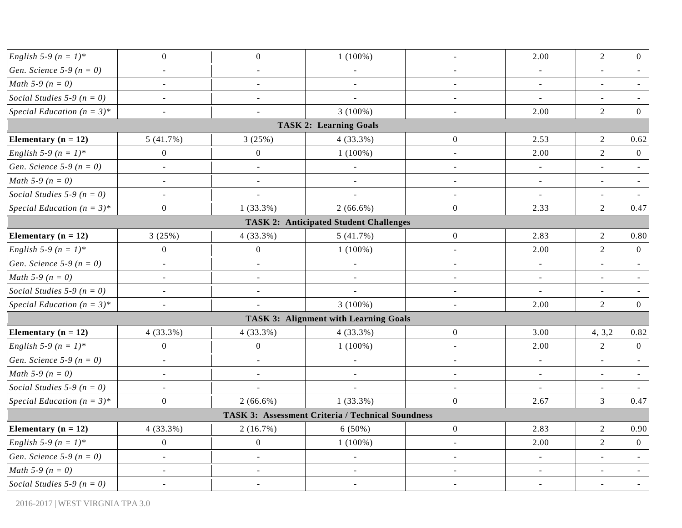| <i>English</i> 5-9 $(n = 1)^*$      | $\mathbf{0}$             | $\boldsymbol{0}$         | $1(100\%)$                                        | $\overline{\phantom{a}}$ | 2.00                     | $\sqrt{2}$               | $\overline{0}$ |
|-------------------------------------|--------------------------|--------------------------|---------------------------------------------------|--------------------------|--------------------------|--------------------------|----------------|
| <i>Gen. Science</i> 5-9 ( $n = 0$ ) | $\sim$                   | $\sim$                   | $\overline{a}$                                    | $\sim$                   | $\sim$                   | $\blacksquare$           | $\sim$         |
| <i>Math</i> 5-9 ( $n = 0$ )         | $\blacksquare$           | $\overline{\phantom{a}}$ | $\blacksquare$                                    | $\blacksquare$           | $\blacksquare$           | $\blacksquare$           |                |
| Social Studies 5-9 ( $n = 0$ )      | $\Box$                   | $\overline{\phantom{a}}$ | $\blacksquare$                                    | $\blacksquare$           | $\overline{\phantom{a}}$ | $\overline{\phantom{a}}$ |                |
| Special Education $(n = 3)^*$       | $\sim$                   | $\blacksquare$           | $3(100\%)$                                        | $\overline{\phantom{a}}$ | 2.00                     | $\overline{2}$           | $\overline{0}$ |
|                                     |                          |                          | <b>TASK 2: Learning Goals</b>                     |                          |                          |                          |                |
| Elementary $(n = 12)$               | 5(41.7%)                 | 3(25%)                   | $4(33.3\%)$                                       | $\boldsymbol{0}$         | 2.53                     | $\overline{2}$           | 0.62           |
| English 5-9 ( $n = 1$ )*            | $\overline{0}$           | $\mathbf{0}$             | $1(100\%)$                                        | $\blacksquare$           | 2.00                     | $\overline{2}$           | $\overline{0}$ |
| <i>Gen. Science</i> 5-9 ( $n = 0$ ) | $\blacksquare$           | $\Box$                   | $\sim$                                            | $\sim$                   | $\sim$                   | $\mathbf{r}$             |                |
| <i>Math</i> 5-9 ( $n = 0$ )         | $\overline{\phantom{a}}$ | $\blacksquare$           | $\overline{\phantom{a}}$                          | $\blacksquare$           | $\sim$                   | $\blacksquare$           | $\sim$         |
| Social Studies 5-9 ( $n = 0$ )      | $\overline{\phantom{a}}$ | $\bar{\phantom{a}}$      | $\overline{a}$                                    | $\blacksquare$           | $\blacksquare$           | $\overline{a}$           |                |
| Special Education $(n = 3)^*$       | $\mathbf{0}$             | $1(33.3\%)$              | $2(66.6\%)$                                       | $\boldsymbol{0}$         | 2.33                     | $\overline{2}$           | 0.47           |
|                                     |                          |                          | <b>TASK 2: Anticipated Student Challenges</b>     |                          |                          |                          |                |
| Elementary ( $n = 12$ )             | 3(25%)                   | 4(33.3%)                 | 5(41.7%)                                          | $\boldsymbol{0}$         | 2.83                     | 2                        | 0.80           |
| <i>English</i> 5-9 $(n = 1)^*$      | $\boldsymbol{0}$         | $\boldsymbol{0}$         | $1(100\%)$                                        | $\sim$                   | 2.00                     | $\overline{2}$           | $\overline{0}$ |
| <i>Gen. Science</i> 5-9 ( $n = 0$ ) | $\blacksquare$           | $\blacksquare$           | $\blacksquare$                                    | $\blacksquare$           | $\omega_{\rm c}$         | $\blacksquare$           | $\sim$         |
| <i>Math</i> 5-9 ( $n = 0$ )         | $\overline{\phantom{a}}$ | $\overline{\phantom{a}}$ | $\overline{\phantom{a}}$                          | $\sim$                   | $\overline{\phantom{a}}$ | $\overline{a}$           |                |
| Social Studies 5-9 ( $n = 0$ )      | $\overline{a}$           | $\sim$                   | $\overline{a}$                                    | $\sim$                   | $\blacksquare$           | $\sim$                   |                |
| Special Education $(n = 3)^*$       | $\blacksquare$           |                          | $3(100\%)$                                        | $\overline{\phantom{a}}$ | 2.00                     | $\overline{2}$           | $\overline{0}$ |
|                                     |                          |                          | <b>TASK 3: Alignment with Learning Goals</b>      |                          |                          |                          |                |
| Elementary $(n = 12)$               | 4(33.3%)                 | 4(33.3%)                 | 4(33.3%)                                          | $\boldsymbol{0}$         | 3.00                     | 4, 3, 2                  | 0.82           |
| English 5-9 ( $n = 1$ )*            | $\overline{0}$           | $\boldsymbol{0}$         | $1(100\%)$                                        | $\overline{\phantom{a}}$ | 2.00                     | $\sqrt{2}$               | $\overline{0}$ |
| <i>Gen. Science</i> 5-9 ( $n = 0$ ) | $\overline{\phantom{a}}$ | $\overline{\phantom{a}}$ |                                                   | $\sim$                   | $\blacksquare$           |                          |                |
| <i>Math</i> 5-9 ( $n = 0$ )         | $\overline{\phantom{a}}$ | $\overline{\phantom{a}}$ | $\overline{a}$                                    | $\sim$                   | $\sim$                   | $\blacksquare$           |                |
| Social Studies 5-9 ( $n = 0$ )      | $\sim$                   |                          | $\overline{a}$                                    | $\blacksquare$           | $\blacksquare$           | $\blacksquare$           | $\sim$         |
| Special Education $(n = 3)^*$       | $\mathbf{0}$             | $2(66.6\%)$              | $1(33.3\%)$                                       | $\boldsymbol{0}$         | 2.67                     | $\overline{3}$           | 0.47           |
|                                     |                          |                          | TASK 3: Assessment Criteria / Technical Soundness |                          |                          |                          |                |
| Elementary $(n = 12)$               | 4(33.3%)                 | 2(16.7%)                 | $6(50\%)$                                         | $\overline{0}$           | 2.83                     | $\overline{2}$           | 0.90           |
| <i>English</i> 5-9 $(n = 1)^*$      | $\mathbf{0}$             | $\boldsymbol{0}$         | $1(100\%)$                                        | $\mathbf{r}$             | 2.00                     | $\overline{2}$           | $\overline{0}$ |
| Gen. Science 5-9 ( $n = 0$ )        | $\overline{a}$           | $\blacksquare$           | $\overline{\phantom{a}}$                          | $\overline{a}$           | $\sim$                   | $\blacksquare$           |                |
| <i>Math</i> 5-9 ( $n = 0$ )         | $\blacksquare$           | $\overline{\phantom{a}}$ |                                                   |                          | $\blacksquare$           | $\blacksquare$           | $\blacksquare$ |
| Social Studies 5-9 ( $n = 0$ )      | $\overline{\phantom{a}}$ | $\omega$                 | $\blacksquare$                                    |                          | $\overline{\phantom{a}}$ | $\omega$                 |                |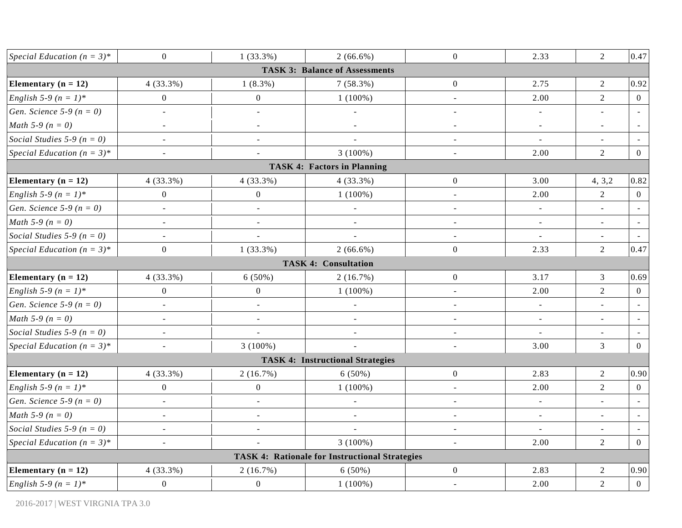| Special Education $(n = 3)^*$       | $\mathbf{0}$             | $1(33.3\%)$              | $2(66.6\%)$                                           | $\mathbf{0}$        | 2.33                     | $\overline{2}$           | 0.47           |
|-------------------------------------|--------------------------|--------------------------|-------------------------------------------------------|---------------------|--------------------------|--------------------------|----------------|
|                                     |                          |                          | <b>TASK 3: Balance of Assessments</b>                 |                     |                          |                          |                |
| Elementary ( $n = 12$ )             | 4(33.3%)                 | $1(8.3\%)$               | $7(58.3\%)$                                           | $\boldsymbol{0}$    | 2.75                     | $\boldsymbol{2}$         | 0.92           |
| English 5-9 ( $n = 1$ )*            | $\mathbf{0}$             | $\boldsymbol{0}$         | $1(100\%)$                                            | $\overline{a}$      | 2.00                     | $\overline{2}$           | $\overline{0}$ |
| <i>Gen. Science</i> 5-9 ( $n = 0$ ) | $\overline{a}$           | $\overline{a}$           | $\omega$                                              | $\sim$              | $\omega$                 | $\overline{a}$           |                |
| <i>Math</i> 5-9 ( $n = 0$ )         | $\overline{\phantom{a}}$ | ÷,                       | $\overline{\phantom{a}}$                              | $\bar{\phantom{a}}$ | $\overline{\phantom{a}}$ | $\overline{\phantom{a}}$ |                |
| Social Studies 5-9 ( $n = 0$ )      | $\blacksquare$           | $\overline{\phantom{a}}$ | ÷,                                                    | $\blacksquare$      | $\overline{\phantom{a}}$ | $\blacksquare$           |                |
| Special Education $(n = 3)^*$       | $\blacksquare$           | $\overline{\phantom{a}}$ | $3(100\%)$                                            | $\sim$              | 2.00                     | $\overline{2}$           | $\overline{0}$ |
|                                     |                          |                          | <b>TASK 4: Factors in Planning</b>                    |                     |                          |                          |                |
| Elementary ( $n = 12$ )             | $4(33.3\%)$              | $4(33.3\%)$              | $4(33.3\%)$                                           | $\mathbf{0}$        | 3.00                     | 4, 3, 2                  | 0.82           |
| <i>English</i> 5-9 $(n = 1)^*$      | $\mathbf{0}$             | $\boldsymbol{0}$         | $1(100\%)$                                            | $\sim$              | 2.00                     | $\overline{2}$           | $\overline{0}$ |
| Gen. Science 5-9 ( $n = 0$ )        | $\blacksquare$           | $\overline{\phantom{a}}$ | $\Box$                                                | $\overline{a}$      | $\overline{\phantom{a}}$ | $\overline{a}$           |                |
| <i>Math</i> 5-9 ( $n = 0$ )         | $\blacksquare$           | $\blacksquare$           | $\blacksquare$                                        | $\blacksquare$      | $\blacksquare$           | $\blacksquare$           | $\sim$         |
| Social Studies 5-9 ( $n = 0$ )      | $\mathbf{r}$             | $\overline{a}$           | $\overline{a}$                                        | $\blacksquare$      | $\overline{\phantom{a}}$ | $\overline{\phantom{a}}$ |                |
| Special Education $(n = 3)^*$       | $\boldsymbol{0}$         | $1(33.3\%)$              | $2(66.6\%)$                                           | $\boldsymbol{0}$    | 2.33                     | $\sqrt{2}$               | 0.47           |
|                                     |                          |                          | <b>TASK 4: Consultation</b>                           |                     |                          |                          |                |
| Elementary ( $n = 12$ )             | 4(33.3%)                 | $6(50\%)$                | 2(16.7%)                                              | $\mathbf{0}$        | 3.17                     | $\mathfrak{Z}$           | 0.69           |
| <i>English</i> 5-9 $(n = 1)^*$      | $\boldsymbol{0}$         | $\boldsymbol{0}$         | $1(100\%)$                                            | $\sim$              | 2.00                     | $\overline{2}$           | $\overline{0}$ |
| <i>Gen. Science</i> 5-9 ( $n = 0$ ) | $\blacksquare$           | $\blacksquare$           | $\overline{\phantom{a}}$                              | $\blacksquare$      | $\equiv$                 | $\blacksquare$           |                |
| <i>Math</i> 5-9 ( $n = 0$ )         | $\blacksquare$           | $\overline{\phantom{a}}$ | $\overline{\phantom{a}}$                              | $\sim$              | $\blacksquare$           | $\blacksquare$           |                |
| Social Studies 5-9 ( $n = 0$ )      | $\blacksquare$           | $\overline{a}$           | $\blacksquare$                                        | $\blacksquare$      | $\blacksquare$           | $\blacksquare$           |                |
| Special Education $(n = 3)^*$       | $\overline{\phantom{a}}$ | $3(100\%)$               |                                                       | $\bar{\phantom{a}}$ | 3.00                     | $\overline{3}$           | $\overline{0}$ |
|                                     |                          |                          | <b>TASK 4: Instructional Strategies</b>               |                     |                          |                          |                |
| Elementary ( $n = 12$ )             | 4(33.3%)                 | 2(16.7%)                 | $6(50\%)$                                             | $\boldsymbol{0}$    | 2.83                     | $\sqrt{2}$               | 0.90           |
| English 5-9 ( $n = 1$ )*            | $\mathbf{0}$             | $\boldsymbol{0}$         | $1(100\%)$                                            | $\overline{a}$      | 2.00                     | $\overline{2}$           | $\overline{0}$ |
| <i>Gen. Science</i> 5-9 ( $n = 0$ ) | $\blacksquare$           | $\blacksquare$           | $\blacksquare$                                        | $\blacksquare$      | $\omega_{\rm c}$         | $\blacksquare$           | $\sim$         |
| <i>Math</i> 5-9 ( $n = 0$ )         | $\blacksquare$           | $\blacksquare$           | $\overline{\phantom{a}}$                              | $\sim$              | $\blacksquare$           | $\blacksquare$           |                |
| Social Studies 5-9 ( $n = 0$ )      | $\overline{\phantom{a}}$ | ÷,                       |                                                       | $\sim$              |                          | $\overline{a}$           |                |
| Special Education $(n = 3)^*$       | $\blacksquare$           | $\blacksquare$           | $3(100\%)$                                            | $\blacksquare$      | 2.00                     | 2                        | $\overline{0}$ |
|                                     |                          |                          | <b>TASK 4: Rationale for Instructional Strategies</b> |                     |                          |                          |                |
| Elementary $(n = 12)$               | 4 (33.3%)                | 2(16.7%)                 | $6(50\%)$                                             | $\boldsymbol{0}$    | 2.83                     | $\overline{2}$           | 0.90           |
| English 5-9 ( $n = 1$ )*            | $\mathbf{0}$             | $\boldsymbol{0}$         | $1(100\%)$                                            | $\blacksquare$      | 2.00                     | $\overline{2}$           | $\overline{0}$ |
|                                     |                          |                          |                                                       |                     |                          |                          |                |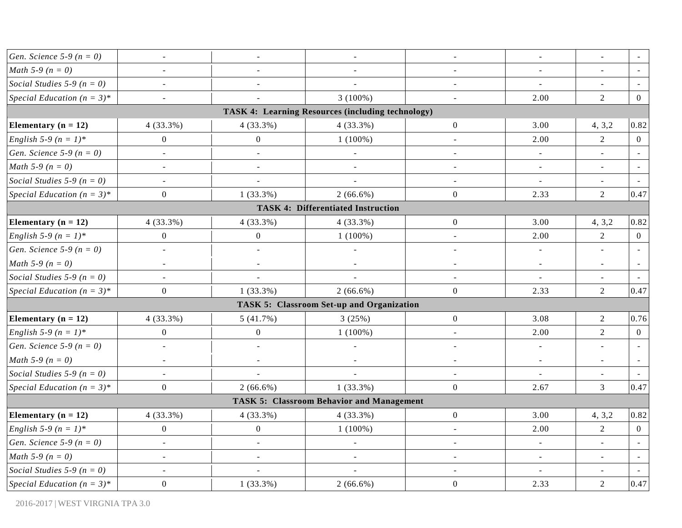| Gen. Science 5-9 ( $n = 0$ )        | $\overline{\phantom{a}}$ | $\overline{\phantom{a}}$ | $\blacksquare$                                    | $\bar{\phantom{a}}$      | $\overline{\phantom{a}}$ | $\frac{1}{2}$            |                |
|-------------------------------------|--------------------------|--------------------------|---------------------------------------------------|--------------------------|--------------------------|--------------------------|----------------|
| <i>Math</i> 5-9 ( $n = 0$ )         | $\blacksquare$           | $\blacksquare$           | $\sim$                                            | $\sim$                   | $\sim$                   | $\blacksquare$           |                |
| Social Studies 5-9 ( $n = 0$ )      | $\overline{\phantom{a}}$ | $\sim$                   | $\overline{a}$                                    | $\sim$                   |                          |                          |                |
| Special Education $(n = 3)^*$       | $\overline{\phantom{a}}$ |                          | $3(100\%)$                                        | $\blacksquare$           | 2.00                     | $\overline{2}$           | $\overline{0}$ |
|                                     |                          |                          | TASK 4: Learning Resources (including technology) |                          |                          |                          |                |
| Elementary ( $n = 12$ )             | 4(33.3%)                 | 4(33.3%)                 | 4(33.3%)                                          | $\boldsymbol{0}$         | 3.00                     | 4, 3, 2                  | 0.82           |
| English 5-9 $(n = 1)^*$             | $\boldsymbol{0}$         | $\boldsymbol{0}$         | $1(100\%)$                                        | $\overline{\phantom{a}}$ | 2.00                     | $\overline{2}$           | $\overline{0}$ |
| <i>Gen. Science</i> 5-9 ( $n = 0$ ) | $\blacksquare$           | $\overline{\phantom{a}}$ | $\bar{a}$                                         | $\overline{\phantom{a}}$ | $\blacksquare$           | $\omega$                 | $\sim$         |
| <i>Math</i> 5-9 ( $n = 0$ )         | $\blacksquare$           | $\overline{\phantom{a}}$ | $\sim$                                            | $\blacksquare$           | $\blacksquare$           | $\mathbf{r}$             |                |
| Social Studies 5-9 ( $n = 0$ )      | $\overline{\phantom{a}}$ | ÷,                       |                                                   | $\overline{\phantom{a}}$ | $\blacksquare$           | $\overline{\phantom{a}}$ |                |
| Special Education $(n = 3)^*$       | $\overline{0}$           | $1(33.3\%)$              | $2(66.6\%)$                                       | $\boldsymbol{0}$         | 2.33                     | 2                        | 0.47           |
|                                     |                          |                          | <b>TASK 4: Differentiated Instruction</b>         |                          |                          |                          |                |
| Elementary $(n = 12)$               | 4(33.3%)                 | 4(33.3%)                 | 4(33.3%)                                          | $\boldsymbol{0}$         | 3.00                     | 4, 3, 2                  | 0.82           |
| <i>English</i> 5-9 $(n = 1)^*$      | $\boldsymbol{0}$         | $\boldsymbol{0}$         | $1(100\%)$                                        | $\overline{\phantom{a}}$ | 2.00                     | $\overline{2}$           | $\overline{0}$ |
| <i>Gen. Science</i> 5-9 ( $n = 0$ ) | $\blacksquare$           | $\blacksquare$           | $\blacksquare$                                    | $\overline{\phantom{a}}$ | $\blacksquare$           |                          |                |
| <i>Math</i> 5-9 ( $n = 0$ )         | $\blacksquare$           | $\overline{\phantom{a}}$ | $\frac{1}{2}$                                     | $\overline{\phantom{a}}$ | $\blacksquare$           | $\overline{\phantom{a}}$ |                |
| Social Studies 5-9 ( $n = 0$ )      | $\blacksquare$           | $\blacksquare$           | $\overline{a}$                                    | $\blacksquare$           | $\blacksquare$           | $\blacksquare$           |                |
| Special Education $(n = 3)^*$       | $\mathbf{0}$             | $1(33.3\%)$              | $2(66.6\%)$                                       | $\mathbf{0}$             | 2.33                     | $\overline{2}$           | 0.47           |
|                                     |                          |                          | <b>TASK 5: Classroom Set-up and Organization</b>  |                          |                          |                          |                |
| Elementary ( $n = 12$ )             | 4(33.3%)                 | 5(41.7%)                 | 3(25%)                                            | $\boldsymbol{0}$         | 3.08                     | $\overline{2}$           | 0.76           |
| <i>English</i> 5-9 $(n = 1)^*$      | $\boldsymbol{0}$         | $\boldsymbol{0}$         | $1(100\%)$                                        | $\overline{\phantom{a}}$ | 2.00                     | $\overline{2}$           | $\overline{0}$ |
| <i>Gen. Science</i> 5-9 ( $n = 0$ ) | $\blacksquare$           | ÷,                       | $\qquad \qquad \blacksquare$                      |                          | $\blacksquare$           |                          |                |
| <i>Math</i> 5-9 ( $n = 0$ )         | $\blacksquare$           | $\blacksquare$           | $\blacksquare$                                    | $\blacksquare$           | $\blacksquare$           | $\blacksquare$           | $\sim$         |
| Social Studies 5-9 ( $n = 0$ )      | $\blacksquare$           | $\sim$                   |                                                   |                          |                          |                          |                |
| Special Education $(n = 3)^*$       | $\mathbf{0}$             | $2(66.6\%)$              | $1(33.3\%)$                                       | $\mathbf{0}$             | 2.67                     | $\overline{3}$           | 0.47           |
|                                     |                          |                          | <b>TASK 5: Classroom Behavior and Management</b>  |                          |                          |                          |                |
| Elementary ( $n = 12$ )             | 4(33.3%)                 | 4(33.3%)                 | 4(33.3%)                                          | $\boldsymbol{0}$         | 3.00                     | 4, 3, 2                  | 0.82           |
| English 5-9 ( $n = 1$ )*            | $\overline{0}$           | $\boldsymbol{0}$         | $1(100\%)$                                        |                          | 2.00                     | $\sqrt{2}$               | $\mathbf{0}$   |
| <i>Gen. Science</i> 5-9 ( $n = 0$ ) | $\blacksquare$           | $\blacksquare$           | $\bar{a}$                                         | $\sim$                   | $\blacksquare$           | $\blacksquare$           | $\sim$         |
| <i>Math</i> 5-9 ( $n = 0$ )         | $\blacksquare$           | $\blacksquare$           |                                                   | $\overline{a}$           | $\sim$                   | $\blacksquare$           |                |
| Social Studies 5-9 ( $n = 0$ )      |                          |                          |                                                   |                          |                          |                          |                |
| Special Education $(n = 3)^*$       | $\overline{0}$           | $1(33.3\%)$              | $2(66.6\%)$                                       | $\boldsymbol{0}$         | 2.33                     | $\overline{2}$           | 0.47           |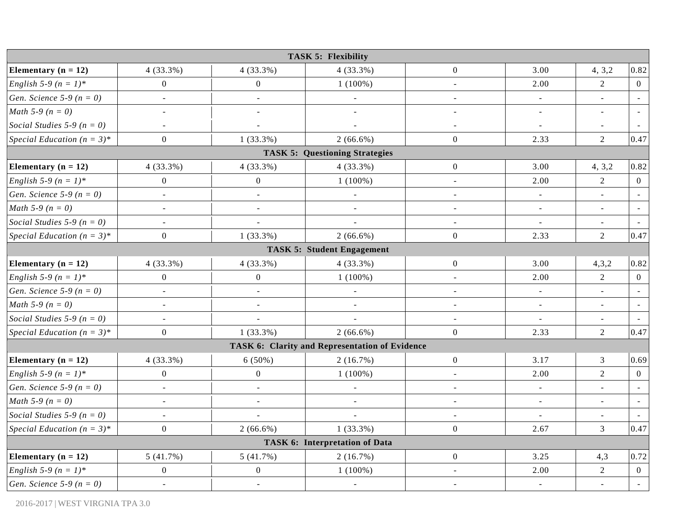|                                |                          |                          | <b>TASK 5: Flexibility</b>                     |                          |                          |                          |                |
|--------------------------------|--------------------------|--------------------------|------------------------------------------------|--------------------------|--------------------------|--------------------------|----------------|
| Elementary ( $n = 12$ )        | 4(33.3%)                 | 4(33.3%)                 | $4(33.3\%)$                                    | $\boldsymbol{0}$         | 3.00                     | 4, 3, 2                  | 0.82           |
| English 5-9 ( $n = 1$ )*       | $\boldsymbol{0}$         | $\overline{0}$           | $1(100\%)$                                     | $\blacksquare$           | 2.00                     | $\overline{2}$           | $\overline{0}$ |
| Gen. Science 5-9 ( $n = 0$ )   | $\blacksquare$           | $\blacksquare$           | $\blacksquare$                                 | $\blacksquare$           | $\blacksquare$           | $\blacksquare$           | $\sim$         |
| <i>Math</i> 5-9 ( $n = 0$ )    | $\overline{\phantom{a}}$ | $\overline{\phantom{a}}$ | $\overline{a}$                                 | $\blacksquare$           | $\blacksquare$           | $\overline{\phantom{a}}$ |                |
| Social Studies 5-9 ( $n = 0$ ) | $\sim$                   | $\overline{a}$           | ÷,                                             | $\sim$                   | $\overline{\phantom{a}}$ | $\blacksquare$           |                |
| Special Education $(n = 3)^*$  | $\boldsymbol{0}$         | $1(33.3\%)$              | $2(66.6\%)$                                    | $\overline{0}$           | 2.33                     | $\overline{2}$           | 0.47           |
|                                |                          |                          | <b>TASK 5: Questioning Strategies</b>          |                          |                          |                          |                |
| Elementary $(n = 12)$          | $4(33.3\%)$              | $4(33.3\%)$              | $4(33.3\%)$                                    | $\overline{0}$           | 3.00                     | 4, 3, 2                  | 0.82           |
| English 5-9 ( $n = 1$ )*       | $\boldsymbol{0}$         | $\boldsymbol{0}$         | $1(100\%)$                                     | $\blacksquare$           | 2.00                     | $\overline{2}$           | $\overline{0}$ |
| Gen. Science 5-9 ( $n = 0$ )   | $\overline{a}$           | $\overline{a}$           | $\overline{\phantom{a}}$                       | $\equiv$                 | $\blacksquare$           | $\overline{a}$           |                |
| <i>Math</i> 5-9 ( $n = 0$ )    | $\blacksquare$           | $\sim$                   | $\blacksquare$                                 | $\overline{\phantom{a}}$ | $\sim$                   | $\blacksquare$           |                |
| Social Studies 5-9 ( $n = 0$ ) | $\blacksquare$           | $\overline{\phantom{a}}$ |                                                | $\blacksquare$           | $\blacksquare$           | $\blacksquare$           | $\sim$         |
| Special Education $(n = 3)^*$  | $\boldsymbol{0}$         | $1(33.3\%)$              | $2(66.6\%)$                                    | $\overline{0}$           | 2.33                     | $\overline{2}$           | 0.47           |
|                                |                          |                          | <b>TASK 5: Student Engagement</b>              |                          |                          |                          |                |
| Elementary ( $n = 12$ )        | 4(33.3%)                 | 4(33.3%)                 | 4(33.3%)                                       | $\overline{0}$           | 3.00                     | 4,3,2                    | 0.82           |
| English 5-9 ( $n = 1$ )*       | $\mathbf{0}$             | $\boldsymbol{0}$         | $1(100\%)$                                     | $\blacksquare$           | 2.00                     | 2                        | $\overline{0}$ |
| Gen. Science 5-9 ( $n = 0$ )   | $\Box$                   | $\Box$                   | $\blacksquare$                                 | $\sim$                   | $\blacksquare$           | $\blacksquare$           |                |
| <i>Math</i> 5-9 ( $n = 0$ )    | $\overline{\phantom{a}}$ | $\blacksquare$           | $\overline{\phantom{a}}$                       | $\blacksquare$           | $\blacksquare$           | $\overline{\phantom{a}}$ | $\sim$         |
| Social Studies 5-9 ( $n = 0$ ) | $\omega$                 | $\overline{a}$           | $\overline{a}$                                 | $\overline{\phantom{a}}$ | $\omega$                 | $\omega$                 |                |
| Special Education $(n = 3)^*$  | $\mathbf{0}$             | $1(33.3\%)$              | $2(66.6\%)$                                    | $\overline{0}$           | 2.33                     | $\overline{2}$           | 0.47           |
|                                |                          |                          | TASK 6: Clarity and Representation of Evidence |                          |                          |                          |                |
| Elementary ( $n = 12$ )        | $4(33.3\%)$              | $6(50\%)$                | 2(16.7%)                                       | $\overline{0}$           | 3.17                     | $\mathfrak{Z}$           | 0.69           |
| English 5-9 ( $n = 1$ )*       | $\overline{0}$           | $\boldsymbol{0}$         | $1(100\%)$                                     | $\equiv$                 | 2.00                     | 2                        | $\overline{0}$ |
| Gen. Science 5-9 ( $n = 0$ )   | $\overline{a}$           | $\overline{a}$           | $\blacksquare$                                 | $\sim$                   |                          |                          |                |
| <i>Math</i> 5-9 ( $n = 0$ )    | $\sim$                   | $\blacksquare$           | $\blacksquare$                                 | $\sim$                   | $\blacksquare$           | $\omega$                 | $\sim$         |
| Social Studies 5-9 ( $n = 0$ ) | $\blacksquare$           | $\overline{a}$           | L.                                             | $\blacksquare$           |                          | $\mathbf{r}$             |                |
| Special Education $(n = 3)^*$  | $\mathbf{0}$             | $2(66.6\%)$              | $1(33.3\%)$                                    | $\overline{0}$           | 2.67                     | $\mathfrak{Z}$           | 0.47           |
|                                |                          |                          | <b>TASK 6: Interpretation of Data</b>          |                          |                          |                          |                |
| Elementary ( $n = 12$ )        | 5(41.7%)                 | 5(41.7%)                 | 2(16.7%)                                       | $\overline{0}$           | 3.25                     | 4,3                      | 0.72           |
| English 5-9 ( $n = 1$ )*       | $\boldsymbol{0}$         | $\boldsymbol{0}$         | $1(100\%)$                                     |                          | 2.00                     | $\sqrt{2}$               | $\overline{0}$ |
| Gen. Science 5-9 ( $n = 0$ )   | $\blacksquare$           | $\blacksquare$           | $\blacksquare$                                 | $\sim$                   | $\blacksquare$           | $\omega$                 | $\sim$         |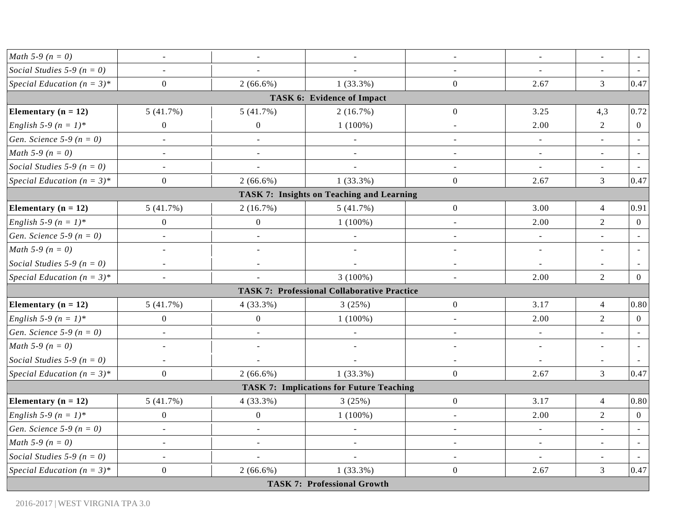| <i>Math</i> 5-9 ( $n = 0$ )     | $\overline{\phantom{a}}$ | $\blacksquare$           | $\overline{\phantom{a}}$                           | $\overline{\phantom{a}}$ | $\equiv$                 | $\overline{\phantom{a}}$ |                |
|---------------------------------|--------------------------|--------------------------|----------------------------------------------------|--------------------------|--------------------------|--------------------------|----------------|
| Social Studies 5-9 ( $n = 0$ )  | $\sim$                   | $\overline{\phantom{a}}$ | $\overline{a}$                                     | $\blacksquare$           | $\overline{\phantom{a}}$ | $\blacksquare$           |                |
| Special Education $(n = 3)^*$   | $\overline{0}$           | $2(66.6\%)$              | $1(33.3\%)$                                        | $\boldsymbol{0}$         | 2.67                     | 3                        | 0.47           |
|                                 |                          |                          | <b>TASK 6: Evidence of Impact</b>                  |                          |                          |                          |                |
| Elementary $(n = 12)$           | 5(41.7%)                 | 5(41.7%)                 | 2(16.7%)                                           | $\mathbf{0}$             | 3.25                     | 4,3                      | 0.72           |
| English 5-9 ( $n = 1$ )*        | $\overline{0}$           | $\boldsymbol{0}$         | $1(100\%)$                                         | $\sim$                   | 2.00                     | $\overline{2}$           | $\overline{0}$ |
| Gen. Science 5-9 ( $n = 0$ )    | $\overline{\phantom{a}}$ | $\overline{\phantom{a}}$ | $\blacksquare$                                     | $\overline{\phantom{a}}$ | $\blacksquare$           | $\blacksquare$           |                |
| <i>Math</i> 5-9 ( $n = 0$ )     | $\sim$                   | $\blacksquare$           | $\blacksquare$                                     | $\overline{\phantom{a}}$ | $\blacksquare$           | $\blacksquare$           | $\sim$         |
| Social Studies 5-9 ( $n = 0$ )  | $\sim$                   |                          |                                                    | $\blacksquare$           | $\overline{\phantom{a}}$ | $\blacksquare$           |                |
| Special Education $(n = 3)^*$   | $\mathbf{0}$             | $2(66.6\%)$              | $1(33.3\%)$                                        | $\mathbf{0}$             | 2.67                     | $\mathfrak{Z}$           | 0.47           |
|                                 |                          |                          | <b>TASK 7: Insights on Teaching and Learning</b>   |                          |                          |                          |                |
| Elementary $(n = 12)$           | 5(41.7%)                 | 2(16.7%)                 | 5(41.7%)                                           | $\boldsymbol{0}$         | 3.00                     | $\overline{4}$           | 0.91           |
| English 5-9 ( $n = 1$ )*        | $\overline{0}$           | $\boldsymbol{0}$         | $1(100\%)$                                         | $\sim$                   | 2.00                     | $\overline{2}$           | $\overline{0}$ |
| Gen. Science 5-9 ( $n = 0$ )    | $\overline{\phantom{a}}$ | $\overline{\phantom{a}}$ | $\blacksquare$                                     | $\sim$                   | $\overline{\phantom{a}}$ | $\blacksquare$           | $\sim$         |
| <i>Math</i> 5-9 ( $n = 0$ )     | $\blacksquare$           | $\blacksquare$           | $\overline{a}$                                     | $\blacksquare$           | $\blacksquare$           | $\sim$                   |                |
| Social Studies 5-9 ( $n = 0$ )  | $\blacksquare$           | $\overline{\phantom{a}}$ |                                                    | $\blacksquare$           | $\overline{\phantom{a}}$ |                          |                |
| Special Education $(n = 3)^*$   | $\sim$                   | $\omega$                 | $3(100\%)$                                         | $\blacksquare$           | 2.00                     | 2                        | $\overline{0}$ |
|                                 |                          |                          | <b>TASK 7: Professional Collaborative Practice</b> |                          |                          |                          |                |
| Elementary ( $n = 12$ )         | 5(41.7%)                 | $4(33.3\%)$              | 3(25%)                                             | $\boldsymbol{0}$         | 3.17                     | $\overline{4}$           | 0.80           |
| <i>English</i> 5-9 ( $n = 1$ )* | $\boldsymbol{0}$         | $\boldsymbol{0}$         | $1(100\%)$                                         | $\blacksquare$           | 2.00                     | $\overline{2}$           | $\overline{0}$ |
| Gen. Science 5-9 ( $n = 0$ )    | $\blacksquare$           | $\blacksquare$           |                                                    | $\blacksquare$           | $\blacksquare$           | $\blacksquare$           |                |
| <i>Math</i> 5-9 ( $n = 0$ )     | $\sim$                   | $\overline{\phantom{a}}$ | ÷,                                                 | $\overline{a}$           | $\blacksquare$           | ÷,                       |                |
| Social Studies 5-9 ( $n = 0$ )  | $\blacksquare$           | $\omega$                 | $\overline{a}$                                     | $\sim$                   | $\blacksquare$           | $\blacksquare$           |                |
| Special Education $(n = 3)^*$   | $\overline{0}$           | $2(66.6\%)$              | $1(33.3\%)$                                        | $\overline{0}$           | 2.67                     | $\overline{3}$           | 0.47           |
|                                 |                          |                          | <b>TASK 7: Implications for Future Teaching</b>    |                          |                          |                          |                |
| Elementary ( $n = 12$ )         | 5(41.7%)                 | $4(33.3\%)$              | 3(25%)                                             | $\boldsymbol{0}$         | 3.17                     | $\overline{4}$           | 0.80           |
| <i>English</i> 5-9 $(n = 1)^*$  | $\boldsymbol{0}$         | $\boldsymbol{0}$         | $1(100\%)$                                         | $\sim$                   | 2.00                     | 2                        | $\overline{0}$ |
| Gen. Science 5-9 ( $n = 0$ )    |                          | $\overline{a}$           | $\qquad \qquad \blacksquare$                       |                          | $\blacksquare$           |                          |                |
| <i>Math</i> 5-9 ( $n = 0$ )     | $\overline{\phantom{a}}$ | $\sim$                   | $\overline{\phantom{a}}$                           | $\sim$                   | $\blacksquare$           | $\blacksquare$           | $\overline{a}$ |
| Social Studies 5-9 ( $n = 0$ )  |                          |                          |                                                    |                          |                          |                          |                |
| Special Education $(n = 3)^*$   | $\overline{0}$           | $2(66.6\%)$              | $1(33.3\%)$                                        | $\mathbf{0}$             | 2.67                     | $\overline{3}$           | 0.47           |
|                                 |                          |                          | <b>TASK 7: Professional Growth</b>                 |                          |                          |                          |                |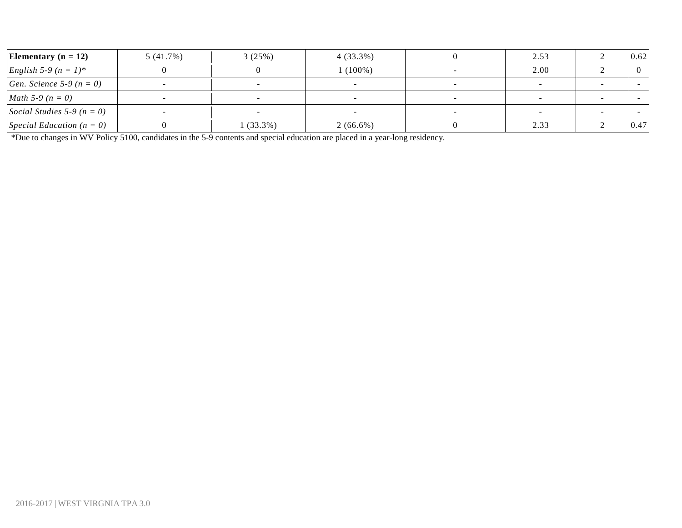| Elementary ( $n = 12$ )             | 5(41.7%)                 | 3(25%)     | $4(33.3\%)$              |   | 2.53 | 0.62 |
|-------------------------------------|--------------------------|------------|--------------------------|---|------|------|
| <i>English</i> 5-9 $(n = 1)^*$      |                          |            | $1(100\%)$               |   | 2.00 |      |
| <i>Gen. Science</i> 5-9 ( $n = 0$ ) |                          |            |                          |   |      |      |
| <i>Math</i> 5-9 ( $n = 0$ )         | $\overline{\phantom{a}}$ |            | $\overline{\phantom{a}}$ |   |      |      |
| Social Studies 5-9 ( $n = 0$ )      |                          |            | $\overline{\phantom{0}}$ | - |      |      |
| Special Education $(n = 0)$         |                          | $(33.3\%)$ | $2(66.6\%)$              |   | 2.33 | 0.47 |

\*Due to changes in WV Policy 5100, candidates in the 5-9 contents and special education are placed in a year-long residency.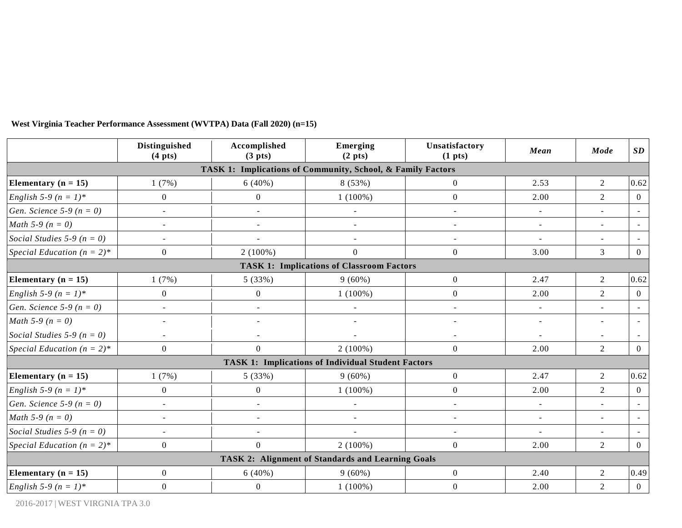|                                | <b>Distinguished</b><br>$(4 \text{ pts})$ | Accomplished<br>(3 <sub>p</sub> its) | Emerging<br>(2 <sub>p</sub> ts)                             | Unsatisfactory<br>(1 <sub>pts</sub> ) | Mean                        | Mode           | SD                       |
|--------------------------------|-------------------------------------------|--------------------------------------|-------------------------------------------------------------|---------------------------------------|-----------------------------|----------------|--------------------------|
|                                |                                           |                                      | TASK 1: Implications of Community, School, & Family Factors |                                       |                             |                |                          |
| Elementary ( $n = 15$ )        | 1(7%)                                     | 6(40%)                               | 8 (53%)                                                     | $\overline{0}$                        | 2.53                        | $\overline{2}$ | 0.62                     |
| English 5-9 ( $n = 1$ )*       | $\boldsymbol{0}$                          | $\overline{0}$                       | $1(100\%)$                                                  | $\overline{0}$                        | 2.00                        | $\overline{2}$ | $\theta$                 |
| Gen. Science 5-9 ( $n = 0$ )   | $\blacksquare$                            | $\blacksquare$                       | $\overline{\phantom{a}}$                                    | $\blacksquare$                        | $\sim$                      | $\sim$         | $\overline{\phantom{a}}$ |
| <i>Math</i> 5-9 ( $n = 0$ )    | $\sim$                                    | $\sim$                               | $\blacksquare$                                              | $\sim$                                | $\blacksquare$              | $\blacksquare$ | $\overline{\phantom{a}}$ |
| Social Studies 5-9 ( $n = 0$ ) |                                           |                                      | $\overline{\phantom{a}}$                                    | $\overline{\phantom{a}}$              | $\blacksquare$              |                |                          |
| Special Education $(n = 2)^*$  | $\boldsymbol{0}$                          | $2(100\%)$                           | $\boldsymbol{0}$                                            | $\boldsymbol{0}$                      | 3.00                        | $\overline{3}$ | $\overline{0}$           |
|                                |                                           |                                      | <b>TASK 1: Implications of Classroom Factors</b>            |                                       |                             |                |                          |
| Elementary ( $n = 15$ )        | 1(7%)                                     | 5(33%)                               | $9(60\%)$                                                   | $\boldsymbol{0}$                      | 2.47                        | 2              | 0.62                     |
| English 5-9 ( $n = 1$ )*       | $\mathbf{0}$                              | $\boldsymbol{0}$                     | $1(100\%)$                                                  | $\overline{0}$                        | 2.00                        | $\overline{2}$ | $\theta$                 |
| Gen. Science 5-9 ( $n = 0$ )   | $\omega$                                  |                                      | $\overline{a}$                                              | $\sim$                                | $\sim$                      | $\sim$         | $\sim$                   |
| <i>Math</i> 5-9 ( $n = 0$ )    | $\blacksquare$                            | $\blacksquare$                       | $\blacksquare$                                              | $\sim$                                | $\equiv$                    | $\sim$         | $\sim$                   |
| Social Studies 5-9 ( $n = 0$ ) | $\sim$                                    |                                      |                                                             |                                       | $\overline{\phantom{a}}$    |                |                          |
| Special Education $(n = 2)^*$  | $\boldsymbol{0}$                          | $\boldsymbol{0}$                     | $2(100\%)$                                                  | $\mathbf{0}$                          | 2.00                        | $\overline{2}$ | $\theta$                 |
|                                |                                           |                                      | <b>TASK 1: Implications of Individual Student Factors</b>   |                                       |                             |                |                          |
| Elementary ( $n = 15$ )        | 1(7%)                                     | 5(33%)                               | $9(60\%)$                                                   | $\overline{0}$                        | 2.47                        | $\overline{2}$ | 0.62                     |
| English 5-9 ( $n = 1$ )*       | $\boldsymbol{0}$                          | $\boldsymbol{0}$                     | $1(100\%)$                                                  | $\boldsymbol{0}$                      | 2.00                        | $\overline{2}$ | $\overline{0}$           |
| Gen. Science 5-9 ( $n = 0$ )   | $\mathbf{r}$                              | ÷.                                   | $\overline{a}$                                              | $\overline{a}$                        | $\sim$                      | $\sim$         | $\overline{\phantom{a}}$ |
| <i>Math</i> 5-9 ( $n = 0$ )    | $\sim$                                    | $\overline{a}$                       | $\sim$                                                      | $\sim$                                | $\sim$                      | $\sim$         |                          |
| Social Studies 5-9 ( $n = 0$ ) | $\sim$                                    |                                      | $\overline{a}$                                              | $\sim$                                | $\mathcal{L}^{\mathcal{A}}$ | $\sim$         | $\sim$                   |
| Special Education $(n = 2)^*$  | $\overline{0}$                            | $\boldsymbol{0}$                     | $2(100\%)$                                                  | $\overline{0}$                        | 2.00                        | $\overline{2}$ | $\Omega$                 |
|                                |                                           |                                      | <b>TASK 2: Alignment of Standards and Learning Goals</b>    |                                       |                             |                |                          |
| Elementary ( $n = 15$ )        | $\boldsymbol{0}$                          | $6(40\%)$                            | $9(60\%)$                                                   | $\overline{0}$                        | 2.40                        | $\overline{2}$ | 0.49                     |
| <i>English</i> 5-9 $(n = 1)^*$ | $\mathbf{0}$                              | $\boldsymbol{0}$                     | $1(100\%)$                                                  | $\overline{0}$                        | 2.00                        | $\overline{2}$ | $\overline{0}$           |

#### **West Virginia Teacher Performance Assessment (WVTPA) Data (Fall 2020) (n=15)**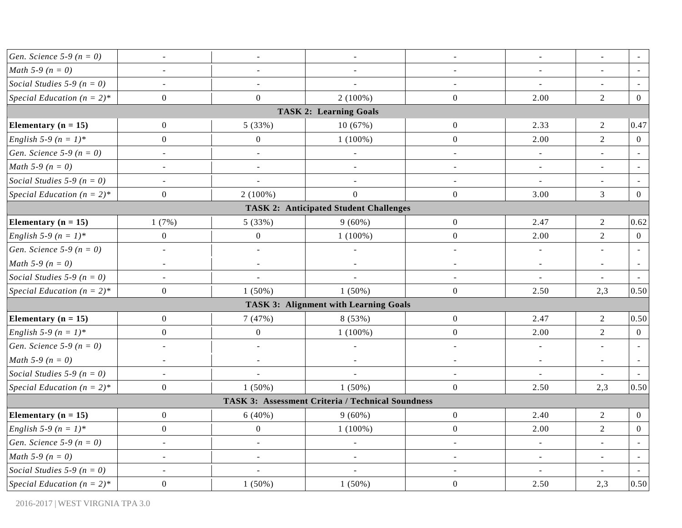| <i>Gen. Science</i> 5-9 ( $n = 0$ ) | $\blacksquare$           | $\blacksquare$           | $\blacksquare$                                    | $\blacksquare$   | $\blacksquare$           | $\blacksquare$           |                |
|-------------------------------------|--------------------------|--------------------------|---------------------------------------------------|------------------|--------------------------|--------------------------|----------------|
| <i>Math</i> 5-9 ( $n = 0$ )         | $\overline{\phantom{a}}$ | $\overline{\phantom{a}}$ | $\blacksquare$                                    | $\blacksquare$   | $\blacksquare$           | $\omega$                 |                |
| Social Studies 5-9 ( $n = 0$ )      | $\blacksquare$           | $\overline{\phantom{a}}$ | $\overline{a}$                                    | $\blacksquare$   | $\blacksquare$           | $\sim$                   |                |
| Special Education $(n = 2)^*$       | $\boldsymbol{0}$         | $\boldsymbol{0}$         | $2(100\%)$                                        | $\boldsymbol{0}$ | 2.00                     | $\overline{2}$           | $\mathbf{0}$   |
|                                     |                          |                          | <b>TASK 2: Learning Goals</b>                     |                  |                          |                          |                |
| Elementary $(n = 15)$               | $\mathbf{0}$             | 5 (33%)                  | 10(67%)                                           | $\boldsymbol{0}$ | 2.33                     | $\overline{2}$           | 0.47           |
| English 5-9 ( $n = 1$ )*            | $\overline{0}$           | $\boldsymbol{0}$         | $1(100\%)$                                        | $\boldsymbol{0}$ | 2.00                     | $\overline{2}$           | $\overline{0}$ |
| <i>Gen. Science</i> 5-9 ( $n = 0$ ) | $\overline{\phantom{a}}$ | $\overline{\phantom{a}}$ | $\overline{a}$                                    | $\blacksquare$   | $\blacksquare$           | $\blacksquare$           |                |
| <i>Math</i> 5-9 ( $n = 0$ )         | $\blacksquare$           | $\equiv$                 | $\blacksquare$                                    | $\blacksquare$   | $\blacksquare$           | $\blacksquare$           |                |
| Social Studies 5-9 ( $n = 0$ )      | $\blacksquare$           | $\overline{a}$           | $\overline{\phantom{a}}$                          | $\blacksquare$   | $\overline{\phantom{a}}$ |                          |                |
| Special Education $(n = 2)^*$       | $\overline{0}$           | $2(100\%)$               | $\mathbf{0}$                                      | $\boldsymbol{0}$ | 3.00                     | $\overline{3}$           | $\overline{0}$ |
|                                     |                          |                          | <b>TASK 2: Anticipated Student Challenges</b>     |                  |                          |                          |                |
| Elementary $(n = 15)$               | 1(7%)                    | 5 (33%)                  | $9(60\%)$                                         | $\boldsymbol{0}$ | 2.47                     | $\boldsymbol{2}$         | 0.62           |
| <i>English</i> 5-9 $(n = 1)^*$      | $\overline{0}$           | $\boldsymbol{0}$         | $1(100\%)$                                        | $\boldsymbol{0}$ | 2.00                     | $\overline{2}$           | $\overline{0}$ |
| <i>Gen. Science</i> 5-9 ( $n = 0$ ) | $\omega$                 | $\Box$                   | $\blacksquare$                                    | $\omega$         | $\overline{\phantom{a}}$ | $\mathbf{r}$             |                |
| <i>Math</i> 5-9 ( $n = 0$ )         | $\overline{\phantom{a}}$ | $\blacksquare$           | $\Box$                                            | $\blacksquare$   | $\blacksquare$           | $\overline{\phantom{a}}$ |                |
| Social Studies 5-9 ( $n = 0$ )      | $\overline{\phantom{a}}$ | $\overline{\phantom{a}}$ | $\overline{\phantom{a}}$                          | $\blacksquare$   | $\equiv$                 | $\blacksquare$           |                |
| Special Education $(n = 2)^*$       | $\overline{0}$           | $1(50\%)$                | $1(50\%)$                                         | $\overline{0}$   | 2.50                     | 2,3                      | 0.50           |
|                                     |                          |                          | <b>TASK 3: Alignment with Learning Goals</b>      |                  |                          |                          |                |
| Elementary $(n = 15)$               | $\boldsymbol{0}$         | 7(47%)                   | 8(53%)                                            | $\boldsymbol{0}$ | 2.47                     | $\overline{2}$           | 0.50           |
| <i>English</i> 5-9 $(n = 1)^*$      | $\overline{0}$           | $\boldsymbol{0}$         | $1(100\%)$                                        | $\boldsymbol{0}$ | 2.00                     | $\overline{2}$           | $\mathbf{0}$   |
| <i>Gen. Science</i> 5-9 ( $n = 0$ ) | $\overline{\phantom{a}}$ | $\overline{a}$           | $\blacksquare$                                    |                  | $\overline{\phantom{a}}$ |                          |                |
| <i>Math</i> 5-9 ( $n = 0$ )         | $\blacksquare$           | $\blacksquare$           | $\blacksquare$                                    | $\sim$           | $\blacksquare$           | $\blacksquare$           |                |
| Social Studies 5-9 ( $n = 0$ )      | $\overline{\phantom{a}}$ | ÷,                       | $\overline{a}$                                    |                  |                          |                          |                |
| Special Education $(n = 2)^*$       | $\mathbf{0}$             | $1(50\%)$                | $1(50\%)$                                         | $\overline{0}$   | 2.50                     | 2,3                      | 0.50           |
|                                     |                          |                          | TASK 3: Assessment Criteria / Technical Soundness |                  |                          |                          |                |
| Elementary $(n = 15)$               | $\boldsymbol{0}$         | 6(40%)                   | $9(60\%)$                                         | $\boldsymbol{0}$ | 2.40                     | $\overline{2}$           | $\overline{0}$ |
| <i>English</i> 5-9 $(n = 1)^*$      | $\boldsymbol{0}$         | $\boldsymbol{0}$         | $1(100\%)$                                        | $\boldsymbol{0}$ | 2.00                     | $\sqrt{2}$               | $\overline{0}$ |
| Gen. Science 5-9 ( $n = 0$ )        | $\blacksquare$           | $\overline{\phantom{a}}$ | $\overline{a}$                                    | $\blacksquare$   | $\blacksquare$           | $\blacksquare$           |                |
| <i>Math</i> 5-9 ( $n = 0$ )         | $\blacksquare$           | $\overline{\phantom{a}}$ |                                                   |                  | $\blacksquare$           | $\sim$                   |                |
| Social Studies 5-9 ( $n = 0$ )      |                          |                          |                                                   |                  |                          |                          |                |
| Special Education $(n = 2)^*$       | $\overline{0}$           | $1(50\%)$                | $1(50\%)$                                         | $\boldsymbol{0}$ | 2.50                     | 2,3                      | 0.50           |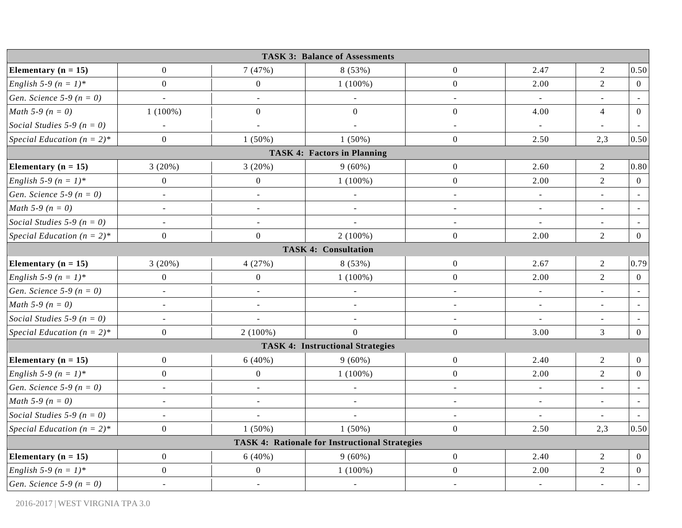|                                     |                          |                          | <b>TASK 3: Balance of Assessments</b>                 |                  |                          |                          |                |
|-------------------------------------|--------------------------|--------------------------|-------------------------------------------------------|------------------|--------------------------|--------------------------|----------------|
| Elementary ( $n = 15$ )             | $\boldsymbol{0}$         | 7(47%)                   | 8 (53%)                                               | $\overline{0}$   | 2.47                     | $\overline{2}$           | 0.50           |
| English 5-9 ( $n = 1$ )*            | $\boldsymbol{0}$         | $\boldsymbol{0}$         | $1(100\%)$                                            | $\boldsymbol{0}$ | 2.00                     | $\overline{2}$           | $\overline{0}$ |
| <i>Gen. Science</i> 5-9 ( $n = 0$ ) | $\blacksquare$           | $\blacksquare$           | $\overline{\phantom{a}}$                              | $\blacksquare$   | $\blacksquare$           | $\blacksquare$           | $\sim$         |
| <i>Math</i> 5-9 ( $n = 0$ )         | $1(100\%)$               | $\boldsymbol{0}$         | $\boldsymbol{0}$                                      | $\overline{0}$   | 4.00                     | $\overline{4}$           | $\overline{0}$ |
| Social Studies 5-9 ( $n = 0$ )      | $\overline{a}$           | $\overline{a}$           | $\Box$                                                | $\sim$           | $\omega$                 | $\sim$                   |                |
| Special Education $(n = 2)^*$       | $\boldsymbol{0}$         | $1(50\%)$                | $1(50\%)$                                             | $\overline{0}$   | 2.50                     | 2,3                      | 0.50           |
|                                     |                          |                          | <b>TASK 4: Factors in Planning</b>                    |                  |                          |                          |                |
| Elementary ( $n = 15$ )             | 3(20%)                   | 3(20%)                   | $9(60\%)$                                             | $\boldsymbol{0}$ | 2.60                     | 2                        | 0.80           |
| English 5-9 ( $n = 1$ )*            | $\boldsymbol{0}$         | $\boldsymbol{0}$         | $1(100\%)$                                            | $\boldsymbol{0}$ | 2.00                     | $\sqrt{2}$               | $\mathbf{0}$   |
| Gen. Science 5-9 ( $n = 0$ )        | $\overline{\phantom{a}}$ | $\overline{a}$           | $\overline{a}$                                        | $\blacksquare$   | $\overline{\phantom{a}}$ | $\overline{a}$           |                |
| <i>Math</i> 5-9 ( $n = 0$ )         | $\equiv$                 | $\overline{\phantom{a}}$ | $\overline{a}$                                        | $\sim$           | $\sim$                   | $\sim$                   |                |
| Social Studies 5-9 ( $n = 0$ )      | $\blacksquare$           | $\overline{\phantom{a}}$ | $\overline{a}$                                        | $\blacksquare$   | $\overline{\phantom{a}}$ | $\blacksquare$           | $\blacksquare$ |
| Special Education $(n = 2)^*$       | $\boldsymbol{0}$         | $\overline{0}$           | $2(100\%)$                                            | $\overline{0}$   | 2.00                     | 2                        | $\mathbf{0}$   |
|                                     |                          |                          | <b>TASK 4: Consultation</b>                           |                  |                          |                          |                |
| Elementary ( $n = 15$ )             | 3(20%)                   | 4(27%)                   | 8 (53%)                                               | $\overline{0}$   | 2.67                     | $\sqrt{2}$               | 0.79           |
| English 5-9 ( $n = 1$ )*            | $\boldsymbol{0}$         | $\boldsymbol{0}$         | $1(100\%)$                                            | $\overline{0}$   | 2.00                     | $\overline{2}$           | $\overline{0}$ |
| <i>Gen. Science</i> 5-9 ( $n = 0$ ) | $\equiv$                 | $\equiv$                 | $\blacksquare$                                        | $\omega$         | $\overline{\phantom{a}}$ | $\omega$                 |                |
| <i>Math</i> 5-9 ( $n = 0$ )         | $\blacksquare$           | $\blacksquare$           | $\overline{\phantom{a}}$                              | $\blacksquare$   | $\overline{\phantom{a}}$ | $\overline{\phantom{a}}$ |                |
| Social Studies 5-9 ( $n = 0$ )      | $\sim$                   | $\bar{\phantom{a}}$      | $\overline{\phantom{a}}$                              | $\sim$           | $\overline{\phantom{a}}$ | $\blacksquare$           |                |
| Special Education $(n = 2)^*$       | $\boldsymbol{0}$         | $2(100\%)$               | $\mathbf{0}$                                          | $\overline{0}$   | 3.00                     | 3                        | $\overline{0}$ |
|                                     |                          |                          | <b>TASK 4: Instructional Strategies</b>               |                  |                          |                          |                |
| Elementary ( $n = 15$ )             | $\boldsymbol{0}$         | $6(40\%)$                | $9(60\%)$                                             | $\boldsymbol{0}$ | 2.40                     | 2                        | $\overline{0}$ |
| English 5-9 ( $n = 1$ )*            | $\mathbf{0}$             | $\boldsymbol{0}$         | $1(100\%)$                                            | $\overline{0}$   | 2.00                     | $\overline{2}$           | $\overline{0}$ |
| <i>Gen. Science</i> 5-9 ( $n = 0$ ) | ÷,                       | $\overline{a}$           | $\overline{\phantom{a}}$                              | $\overline{a}$   | $\blacksquare$           |                          |                |
| <i>Math</i> 5-9 ( $n = 0$ )         | $\blacksquare$           | $\blacksquare$           | $\Box$                                                | $\blacksquare$   | $\blacksquare$           | $\blacksquare$           | $\sim$         |
| Social Studies 5-9 ( $n = 0$ )      | $\sim$                   | $\overline{a}$           | ÷,                                                    | $\blacksquare$   | $\sim$                   | $\blacksquare$           |                |
| Special Education $(n = 2)^*$       | $\boldsymbol{0}$         | $1(50\%)$                | $1(50\%)$                                             | $\overline{0}$   | 2.50                     | 2,3                      | 0.50           |
|                                     |                          |                          | <b>TASK 4: Rationale for Instructional Strategies</b> |                  |                          |                          |                |
| Elementary ( $n = 15$ )             | $\boldsymbol{0}$         | 6(40%)                   | $9(60\%)$                                             | $\boldsymbol{0}$ | 2.40                     | $\sqrt{2}$               | $\overline{0}$ |
| English 5-9 ( $n = 1$ )*            | $\boldsymbol{0}$         | $\boldsymbol{0}$         | $1(100\%)$                                            | $\boldsymbol{0}$ | 2.00                     | $\sqrt{2}$               | $\overline{0}$ |
| <i>Gen. Science</i> 5-9 ( $n = 0$ ) | $\blacksquare$           | $\blacksquare$           | $\blacksquare$                                        | $\sim$           | $\blacksquare$           | $\blacksquare$           | $\sim$         |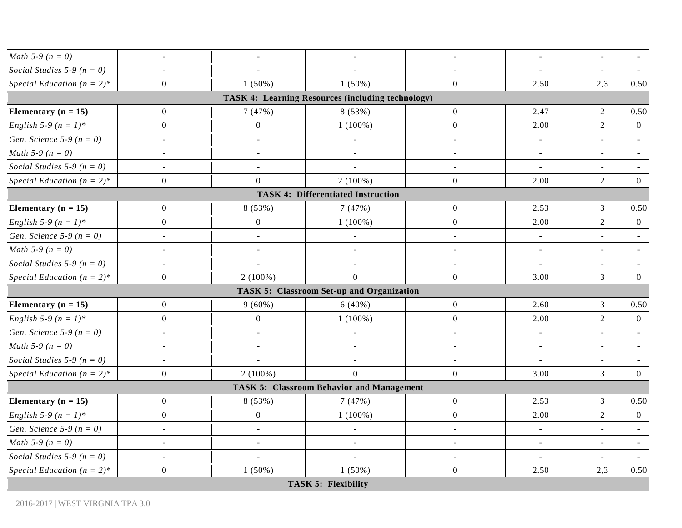|                                     |                          |                          | <b>TASK 5: Flexibility</b>                        |                          |                          |                |                |
|-------------------------------------|--------------------------|--------------------------|---------------------------------------------------|--------------------------|--------------------------|----------------|----------------|
| Special Education $(n = 2)^*$       | $\boldsymbol{0}$         | $1(50\%)$                | $1(50\%)$                                         | $\overline{0}$           | 2.50                     | 2,3            | 0.50           |
| Social Studies 5-9 ( $n = 0$ )      |                          | $\overline{a}$           | $\overline{a}$                                    |                          |                          |                |                |
| <i>Math</i> 5-9 ( $n = 0$ )         | $\overline{\phantom{a}}$ | $\overline{\phantom{a}}$ | $\overline{\phantom{a}}$                          | $\sim$                   | $\blacksquare$           | $\blacksquare$ |                |
| Gen. Science 5-9 ( $n = 0$ )        |                          | $\overline{a}$           | $\overline{\phantom{a}}$                          |                          | $\overline{\phantom{a}}$ |                |                |
| English 5-9 ( $n = 1$ )*            | $\overline{0}$           | $\boldsymbol{0}$         | $1(100\%)$                                        | $\boldsymbol{0}$         | 2.00                     | $\overline{2}$ | $\overline{0}$ |
| Elementary $(n = 15)$               | $\overline{0}$           | 8 (53%)                  | 7(47%)                                            | $\boldsymbol{0}$         | 2.53                     | $\mathfrak{Z}$ | 0.50           |
|                                     |                          |                          | <b>TASK 5: Classroom Behavior and Management</b>  |                          |                          |                |                |
| Special Education $(n = 2)^*$       | $\overline{0}$           | $2(100\%)$               | $\overline{0}$                                    | $\overline{0}$           | 3.00                     | 3              | $\overline{0}$ |
| Social Studies 5-9 ( $n = 0$ )      | $\sim$                   | $\equiv$                 | $\overline{\phantom{a}}$                          | $\overline{\phantom{a}}$ | $\equiv$                 | $\blacksquare$ |                |
| <i>Math</i> 5-9 ( $n = 0$ )         | $\blacksquare$           | $\sim$                   | $\overline{a}$                                    | $\sim$                   | $\blacksquare$           |                |                |
| <i>Gen. Science</i> 5-9 ( $n = 0$ ) | $\blacksquare$           | $\blacksquare$           | $\blacksquare$                                    | $\blacksquare$           | $\overline{\phantom{a}}$ |                |                |
| <i>English</i> 5-9 $(n = 1)^*$      | $\overline{0}$           | $\boldsymbol{0}$         | $1(100\%)$                                        | $\overline{0}$           | 2.00                     | $\overline{2}$ | $\overline{0}$ |
| Elementary $(n = 15)$               | $\boldsymbol{0}$         | $9(60\%)$                | 6(40%)                                            | $\boldsymbol{0}$         | 2.60                     | $\mathfrak{Z}$ | 0.50           |
|                                     |                          |                          | <b>TASK 5: Classroom Set-up and Organization</b>  |                          |                          |                |                |
| Special Education $(n = 2)^*$       | $\overline{0}$           | $2(100\%)$               | $\mathbf{0}$                                      | $\overline{0}$           | 3.00                     | $\mathfrak{Z}$ | $\overline{0}$ |
| Social Studies 5-9 ( $n = 0$ )      | $\overline{\phantom{a}}$ |                          | $\blacksquare$                                    | $\blacksquare$           | $\blacksquare$           |                |                |
| <i>Math</i> 5-9 ( $n = 0$ )         | $\sim$                   | $\overline{\phantom{a}}$ | $\blacksquare$                                    | $\blacksquare$           | $\blacksquare$           | $\blacksquare$ |                |
| Gen. Science 5-9 ( $n = 0$ )        | $\overline{\phantom{a}}$ | $\overline{\phantom{a}}$ | $\blacksquare$                                    | $\blacksquare$           | $\blacksquare$           | $\blacksquare$ |                |
| English 5-9 ( $n = 1$ )*            | $\overline{0}$           | $\mathbf{0}$             | $1(100\%)$                                        | $\overline{0}$           | 2.00                     | $\overline{2}$ | $\overline{0}$ |
| Elementary $(n = 15)$               | $\overline{0}$           | 8(53%)                   | 7(47%)                                            | $\boldsymbol{0}$         | 2.53                     | $\mathfrak{Z}$ | 0.50           |
|                                     |                          |                          | <b>TASK 4: Differentiated Instruction</b>         |                          |                          |                |                |
| Special Education $(n = 2)^*$       | $\boldsymbol{0}$         | $\mathbf{0}$             | $2(100\%)$                                        | $\overline{0}$           | 2.00                     | $\overline{2}$ | $\overline{0}$ |
| Social Studies 5-9 ( $n = 0$ )      | $\overline{\phantom{a}}$ | $\blacksquare$           | $\overline{a}$                                    | $\overline{\phantom{a}}$ | $\blacksquare$           | $\blacksquare$ |                |
| <i>Math</i> 5-9 ( $n = 0$ )         | $\overline{\phantom{a}}$ | $\overline{\phantom{a}}$ | $\blacksquare$                                    | $\blacksquare$           | $\blacksquare$           | $\sim$         |                |
| <i>Gen. Science</i> 5-9 ( $n = 0$ ) | $\blacksquare$           | $\blacksquare$           | $\sim$                                            | $\blacksquare$           | $\equiv$                 | $\blacksquare$ |                |
| English 5-9 ( $n = 1$ )*            | $\boldsymbol{0}$         | $\overline{0}$           | $1(100\%)$                                        | $\boldsymbol{0}$         | 2.00                     | $\overline{2}$ | $\overline{0}$ |
| Elementary $(n = 15)$               | $\overline{0}$           | 7(47%)                   | 8 (53%)                                           | $\overline{0}$           | 2.47                     | $\overline{2}$ | 0.50           |
|                                     |                          |                          | TASK 4: Learning Resources (including technology) |                          |                          |                |                |
| Special Education $(n = 2)^*$       | $\overline{0}$           | $1(50\%)$                | $1(50\%)$                                         | $\overline{0}$           | 2.50                     | 2,3            | 0.50           |
| Social Studies 5-9 ( $n = 0$ )      |                          |                          |                                                   |                          |                          |                |                |
| <i>Math</i> 5-9 ( $n = 0$ )         | $\blacksquare$           | $\sim$                   | $\overline{\phantom{a}}$                          | $\blacksquare$           | $\blacksquare$           | $\blacksquare$ |                |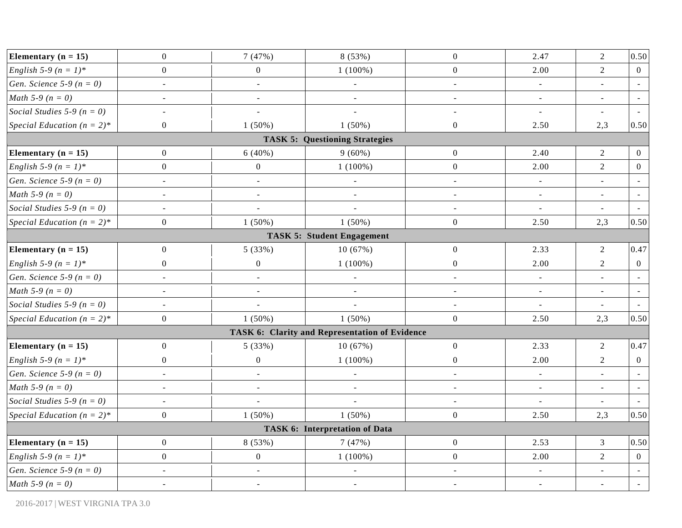| Elementary ( $n = 15$ )             | $\mathbf{0}$             | 7(47%)                   | 8 (53%)                                        | $\mathbf{0}$     | 2.47                     | $\sqrt{2}$     | 0.50           |
|-------------------------------------|--------------------------|--------------------------|------------------------------------------------|------------------|--------------------------|----------------|----------------|
| English 5-9 ( $n = 1$ )*            | $\boldsymbol{0}$         | $\boldsymbol{0}$         | $1(100\%)$                                     | $\boldsymbol{0}$ | 2.00                     | $\overline{2}$ | $\overline{0}$ |
| <i>Gen. Science</i> 5-9 ( $n = 0$ ) | $\blacksquare$           | $\overline{\phantom{a}}$ | $\blacksquare$                                 | $\blacksquare$   | $\blacksquare$           | $\blacksquare$ |                |
| <i>Math</i> 5-9 ( $n = 0$ )         | $\blacksquare$           | $\blacksquare$           | $\blacksquare$                                 | $\blacksquare$   | $\blacksquare$           | $\blacksquare$ |                |
| Social Studies 5-9 ( $n = 0$ )      | $\overline{\phantom{a}}$ | ÷,                       | ÷,                                             | $\blacksquare$   | $\overline{\phantom{a}}$ | $\blacksquare$ |                |
| Special Education $(n = 2)^*$       | $\boldsymbol{0}$         | $1(50\%)$                | $1(50\%)$                                      | $\mathbf{0}$     | 2.50                     | 2,3            | 0.50           |
|                                     |                          |                          | <b>TASK 5: Questioning Strategies</b>          |                  |                          |                |                |
| Elementary ( $n = 15$ )             | $\overline{0}$           | $6(40\%)$                | $9(60\%)$                                      | $\boldsymbol{0}$ | 2.40                     | $\overline{2}$ | $\overline{0}$ |
| <i>English</i> 5-9 $(n = 1)^*$      | $\boldsymbol{0}$         | $\boldsymbol{0}$         | $1(100\%)$                                     | $\boldsymbol{0}$ | 2.00                     | $\overline{2}$ | $\overline{0}$ |
| <i>Gen. Science</i> 5-9 ( $n = 0$ ) | $\blacksquare$           | $\blacksquare$           | $\overline{\phantom{a}}$                       | $\blacksquare$   | $\equiv$                 | $\blacksquare$ |                |
| <i>Math</i> 5-9 ( $n = 0$ )         | $\overline{\phantom{a}}$ | $\bar{\phantom{a}}$      | $\blacksquare$                                 | $\blacksquare$   | $\overline{\phantom{a}}$ | $\blacksquare$ |                |
| Social Studies 5-9 ( $n = 0$ )      | $\overline{\phantom{a}}$ | L.                       | $\overline{a}$                                 | $\blacksquare$   | $\blacksquare$           | $\blacksquare$ |                |
| Special Education $(n = 2)^*$       | $\boldsymbol{0}$         | $1(50\%)$                | $1(50\%)$                                      | $\boldsymbol{0}$ | 2.50                     | 2,3            | 0.50           |
|                                     |                          |                          | <b>TASK 5: Student Engagement</b>              |                  |                          |                |                |
| Elementary ( $n = 15$ )             | $\mathbf{0}$             | 5 (33%)                  | 10(67%)                                        | $\boldsymbol{0}$ | 2.33                     | $\overline{2}$ | 0.47           |
| English 5-9 ( $n = 1$ )*            | $\boldsymbol{0}$         | $\boldsymbol{0}$         | $1(100\%)$                                     | $\boldsymbol{0}$ | 2.00                     | $\sqrt{2}$     | $\overline{0}$ |
| <i>Gen. Science</i> 5-9 ( $n = 0$ ) | $\frac{1}{2}$            | $\bar{\phantom{a}}$      | $\frac{1}{2}$                                  | $\sim$           | $\equiv$                 | $\blacksquare$ |                |
| <i>Math</i> 5-9 ( $n = 0$ )         | $\overline{\phantom{a}}$ | $\overline{\phantom{a}}$ | ÷,                                             | $\blacksquare$   | $\blacksquare$           | $\blacksquare$ |                |
| Social Studies 5-9 ( $n = 0$ )      | $\overline{\phantom{a}}$ |                          |                                                | $\blacksquare$   | $\overline{\phantom{a}}$ | $\blacksquare$ |                |
| Special Education $(n = 2)^*$       | $\boldsymbol{0}$         | $1(50\%)$                | $1(50\%)$                                      | $\mathbf{0}$     | 2.50                     | 2,3            | 0.50           |
|                                     |                          |                          | TASK 6: Clarity and Representation of Evidence |                  |                          |                |                |
| Elementary ( $n = 15$ )             | $\boldsymbol{0}$         | 5 (33%)                  | 10(67%)                                        | $\boldsymbol{0}$ | 2.33                     | $\sqrt{2}$     | 0.47           |
| English 5-9 ( $n = 1$ )*            | $\mathbf{0}$             | $\boldsymbol{0}$         | $1(100\%)$                                     | $\overline{0}$   | 2.00                     | 2              | $\overline{0}$ |
| <i>Gen. Science</i> 5-9 ( $n = 0$ ) | $\overline{\phantom{a}}$ | $\overline{\phantom{a}}$ | $\overline{\phantom{a}}$                       | $\sim$           | $\blacksquare$           | $\blacksquare$ |                |
| <i>Math</i> 5-9 ( $n = 0$ )         | $\blacksquare$           | $\bar{\phantom{a}}$      | $\Box$                                         | $\blacksquare$   | $\blacksquare$           | $\overline{a}$ | $\blacksquare$ |
| Social Studies 5-9 ( $n = 0$ )      | $\overline{\phantom{a}}$ | L.                       | $\overline{a}$                                 | $\blacksquare$   | $\omega$                 | $\blacksquare$ |                |
| Special Education $(n = 2)^*$       | $\boldsymbol{0}$         | $1(50\%)$                | $1(50\%)$                                      | $\mathbf{0}$     | 2.50                     | 2,3            | 0.50           |
|                                     |                          |                          | <b>TASK 6: Interpretation of Data</b>          |                  |                          |                |                |
| Elementary ( $n = 15$ )             | $\boldsymbol{0}$         | 8 (53%)                  | 7(47%)                                         | $\mathbf{0}$     | 2.53                     | $\mathfrak{Z}$ | 0.50           |
| English 5-9 ( $n = 1$ )*            | $\boldsymbol{0}$         | $\boldsymbol{0}$         | $1(100\%)$                                     | $\boldsymbol{0}$ | 2.00                     | $\overline{2}$ | $\overline{0}$ |
| <i>Gen. Science</i> 5-9 ( $n = 0$ ) | $\overline{\phantom{a}}$ | ÷,                       | $\overline{\phantom{a}}$                       | $\overline{a}$   | $\overline{\phantom{a}}$ |                |                |
| <i>Math</i> 5-9 ( $n = 0$ )         | $\blacksquare$           | $\blacksquare$           | $\blacksquare$                                 |                  | $\blacksquare$           | $\blacksquare$ |                |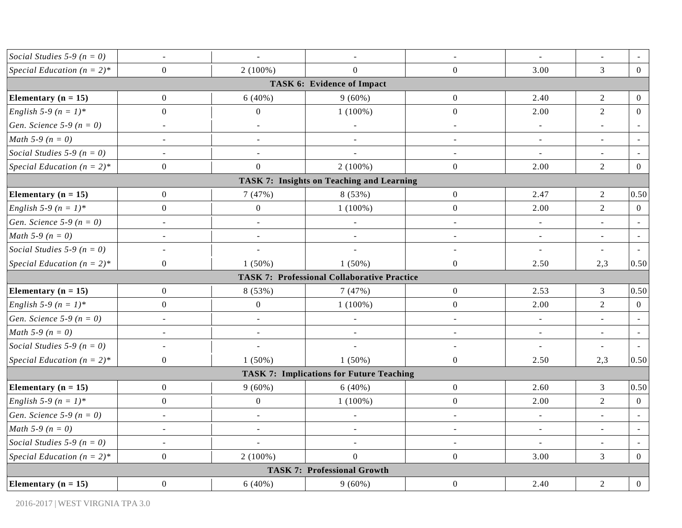| Social Studies 5-9 ( $n = 0$ )      | $\blacksquare$           | $\blacksquare$           | $\blacksquare$                                     | $\sim$                   | $\blacksquare$           | $\blacksquare$           |                |
|-------------------------------------|--------------------------|--------------------------|----------------------------------------------------|--------------------------|--------------------------|--------------------------|----------------|
| Special Education $(n = 2)^*$       | $\overline{0}$           | $2(100\%)$               | $\Omega$                                           | $\boldsymbol{0}$         | 3.00                     | $\overline{3}$           | $\overline{0}$ |
|                                     |                          |                          | <b>TASK 6: Evidence of Impact</b>                  |                          |                          |                          |                |
| Elementary ( $n = 15$ )             | $\boldsymbol{0}$         | 6(40%)                   | $9(60\%)$                                          | $\boldsymbol{0}$         | 2.40                     | $\overline{2}$           | $\overline{0}$ |
| <i>English</i> 5-9 $(n = 1)^*$      | $\boldsymbol{0}$         | $\overline{0}$           | $1(100\%)$                                         | $\mathbf{0}$             | 2.00                     | $\overline{2}$           | $\overline{0}$ |
| Gen. Science 5-9 ( $n = 0$ )        | $\bar{\phantom{a}}$      | $\overline{\phantom{a}}$ | $\overline{\phantom{a}}$                           | $\sim$                   | $\bar{\phantom{a}}$      | $\sim$                   |                |
| <i>Math</i> 5-9 ( $n = 0$ )         | $\overline{\phantom{a}}$ | $\blacksquare$           | $\qquad \qquad \blacksquare$                       | $\overline{\phantom{a}}$ | $\blacksquare$           | $\sim$                   |                |
| Social Studies 5-9 ( $n = 0$ )      | $\blacksquare$           | $\blacksquare$           | $\blacksquare$                                     | $\blacksquare$           | $\blacksquare$           | $\blacksquare$           |                |
| Special Education $(n = 2)^*$       | $\overline{0}$           | $\overline{0}$           | $2(100\%)$                                         | $\boldsymbol{0}$         | 2.00                     | $\overline{2}$           | $\mathbf{0}$   |
|                                     |                          |                          | <b>TASK 7: Insights on Teaching and Learning</b>   |                          |                          |                          |                |
| Elementary $(n = 15)$               | $\overline{0}$           | 7(47%)                   | 8 (53%)                                            | $\boldsymbol{0}$         | 2.47                     | $\overline{2}$           | 0.50           |
| <i>English</i> 5-9 $(n = 1)^*$      | $\overline{0}$           | $\overline{0}$           | $1(100\%)$                                         | $\boldsymbol{0}$         | 2.00                     | $\overline{2}$           | $\mathbf{0}$   |
| Gen. Science 5-9 ( $n = 0$ )        | $\overline{\phantom{a}}$ | ÷,                       | $\blacksquare$                                     | $\overline{\phantom{a}}$ | $\sim$                   |                          |                |
| <i>Math</i> 5-9 ( $n = 0$ )         | $\overline{\phantom{a}}$ | $\blacksquare$           | $\overline{\phantom{a}}$                           | $\blacksquare$           | $\blacksquare$           | $\overline{\phantom{a}}$ | $\sim$         |
| Social Studies 5-9 ( $n = 0$ )      | $\overline{\phantom{a}}$ |                          |                                                    | $\overline{\phantom{a}}$ | $\equiv$                 |                          |                |
| Special Education $(n = 2)^*$       | $\overline{0}$           | $1(50\%)$                | $1(50\%)$                                          | $\boldsymbol{0}$         | 2.50                     | 2,3                      | 0.50           |
|                                     |                          |                          | <b>TASK 7: Professional Collaborative Practice</b> |                          |                          |                          |                |
| Elementary $(n = 15)$               | $\boldsymbol{0}$         | 8 (53%)                  | 7(47%)                                             | $\boldsymbol{0}$         | 2.53                     | 3                        | 0.50           |
| English 5-9 ( $n = 1$ )*            | $\boldsymbol{0}$         | $\boldsymbol{0}$         | $1(100\%)$                                         | $\boldsymbol{0}$         | 2.00                     | $\overline{2}$           | $\mathbf{0}$   |
| <i>Gen. Science</i> 5-9 ( $n = 0$ ) | $\blacksquare$           | $\blacksquare$           | $\overline{\phantom{a}}$                           | $\blacksquare$           | $\overline{\phantom{a}}$ | $\blacksquare$           | $\sim$         |
| <i>Math</i> 5-9 ( $n = 0$ )         |                          |                          |                                                    | $\overline{a}$           | $\blacksquare$           |                          |                |
| Social Studies 5-9 ( $n = 0$ )      | $\overline{\phantom{a}}$ |                          |                                                    | $\sim$                   | $\overline{\phantom{a}}$ |                          |                |
| Special Education $(n = 2)^*$       | $\overline{0}$           | $1(50\%)$                | $1(50\%)$                                          | $\mathbf{0}$             | 2.50                     | 2,3                      | 0.50           |
|                                     |                          |                          | <b>TASK 7: Implications for Future Teaching</b>    |                          |                          |                          |                |
| Elementary ( $n = 15$ )             | $\boldsymbol{0}$         | $9(60\%)$                | 6(40%)                                             | $\boldsymbol{0}$         | 2.60                     | 3                        | 0.50           |
| English 5-9 ( $n = 1$ )*            | $\boldsymbol{0}$         | $\boldsymbol{0}$         | $1(100\%)$                                         | $\boldsymbol{0}$         | 2.00                     | $\overline{2}$           | $\mathbf{0}$   |
| Gen. Science 5-9 ( $n = 0$ )        | $\overline{\phantom{a}}$ | $\blacksquare$           | $\overline{\phantom{a}}$                           | $\overline{\phantom{a}}$ | $\sim$                   | $\sim$                   |                |
| <i>Math</i> 5-9 ( $n = 0$ )         | $\blacksquare$           | $\blacksquare$           | $\blacksquare$                                     | $\blacksquare$           | $\blacksquare$           | $\omega$                 | $\blacksquare$ |
| Social Studies 5-9 ( $n = 0$ )      | $\overline{\phantom{a}}$ |                          | $\overline{\phantom{a}}$                           | $\overline{a}$           | $\Box$                   |                          |                |
| Special Education $(n = 2)^*$       | $\overline{0}$           | $2(100\%)$               | $\overline{0}$                                     | $\overline{0}$           | 3.00                     | 3                        | $\theta$       |
|                                     |                          |                          | <b>TASK 7: Professional Growth</b>                 |                          |                          |                          |                |
| Elementary $(n = 15)$               | $\overline{0}$           | 6(40%)                   | $9(60\%)$                                          | $\boldsymbol{0}$         | 2.40                     | $\overline{2}$           | $\mathbf{0}$   |
|                                     |                          |                          |                                                    |                          |                          |                          |                |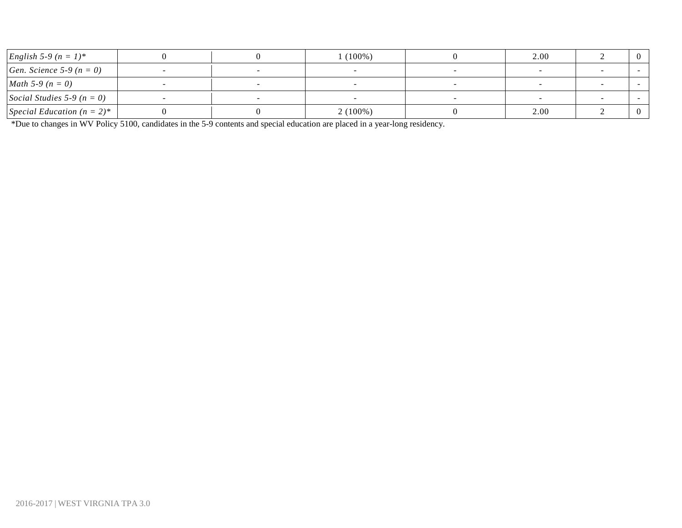| <i>English</i> 5-9 $(n = 1)^*$    |  | $1(100\%)$ | 2.00 |  |
|-----------------------------------|--|------------|------|--|
| <i>Gen. Science</i> 5-9 $(n = 0)$ |  |            |      |  |
| <i>Math</i> 5-9 ( $n = 0$ )       |  |            |      |  |
| Social Studies 5-9 ( $n = 0$ )    |  |            |      |  |
| Special Education $(n = 2)^*$     |  | $2(100\%)$ | 2.00 |  |

\*Due to changes in WV Policy 5100, candidates in the 5-9 contents and special education are placed in a year-long residency.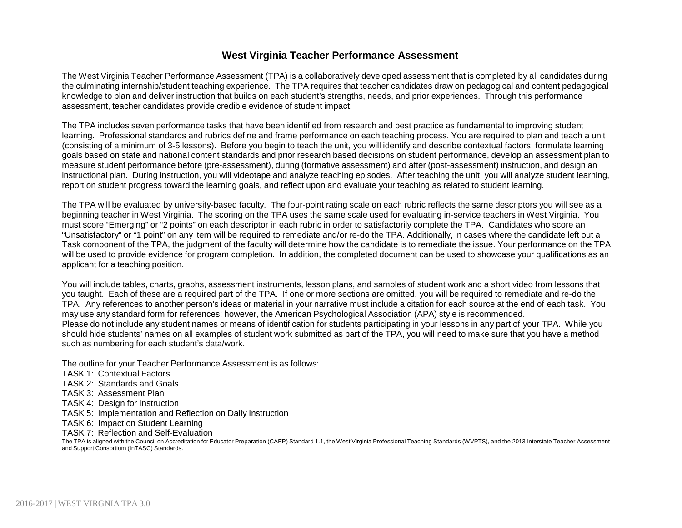### **West Virginia Teacher Performance Assessment**

The West Virginia Teacher Performance Assessment (TPA) is a collaboratively developed assessment that is completed by all candidates during the culminating internship/student teaching experience. The TPA requires that teacher candidates draw on pedagogical and content pedagogical knowledge to plan and deliver instruction that builds on each student's strengths, needs, and prior experiences. Through this performance assessment, teacher candidates provide credible evidence of student impact.

The TPA includes seven performance tasks that have been identified from research and best practice as fundamental to improving student learning. Professional standards and rubrics define and frame performance on each teaching process. You are required to plan and teach a unit (consisting of a minimum of 3-5 lessons). Before you begin to teach the unit, you will identify and describe contextual factors, formulate learning goals based on state and national content standards and prior research based decisions on student performance, develop an assessment plan to measure student performance before (pre-assessment), during (formative assessment) and after (post-assessment) instruction, and design an instructional plan. During instruction, you will videotape and analyze teaching episodes. After teaching the unit, you will analyze student learning, report on student progress toward the learning goals, and reflect upon and evaluate your teaching as related to student learning.

The TPA will be evaluated by university-based faculty. The four-point rating scale on each rubric reflects the same descriptors you will see as a beginning teacher in West Virginia. The scoring on the TPA uses the same scale used for evaluating in-service teachers in West Virginia. You must score "Emerging" or "2 points" on each descriptor in each rubric in order to satisfactorily complete the TPA. Candidates who score an "Unsatisfactory" or "1 point" on any item will be required to remediate and/or re-do the TPA. Additionally, in cases where the candidate left out a Task component of the TPA, the judgment of the faculty will determine how the candidate is to remediate the issue. Your performance on the TPA will be used to provide evidence for program completion. In addition, the completed document can be used to showcase your qualifications as an applicant for a teaching position.

You will include tables, charts, graphs, assessment instruments, lesson plans, and samples of student work and a short video from lessons that you taught. Each of these are a required part of the TPA. If one or more sections are omitted, you will be required to remediate and re-do the TPA. Any references to another person's ideas or material in your narrative must include a citation for each source at the end of each task. You may use any standard form for references; however, the American Psychological Association (APA) style is recommended. Please do not include any student names or means of identification for students participating in your lessons in any part of your TPA. While you should hide students' names on all examples of student work submitted as part of the TPA, you will need to make sure that you have a method such as numbering for each student's data/work.

The outline for your Teacher Performance Assessment is as follows:

- TASK 1: Contextual Factors
- TASK 2: Standards and Goals
- TASK 3: Assessment Plan
- TASK 4: Design for Instruction
- TASK 5: Implementation and Reflection on Daily Instruction
- TASK 6: Impact on Student Learning
- TASK 7: Reflection and Self-Evaluation

The TPA is aligned with the Council on Accreditation for Educator Preparation (CAEP) Standard 1.1, the West Virginia Professional Teaching Standards (WVPTS), and the 2013 Interstate Teacher Assessment and Support Consortium (InTASC) Standards.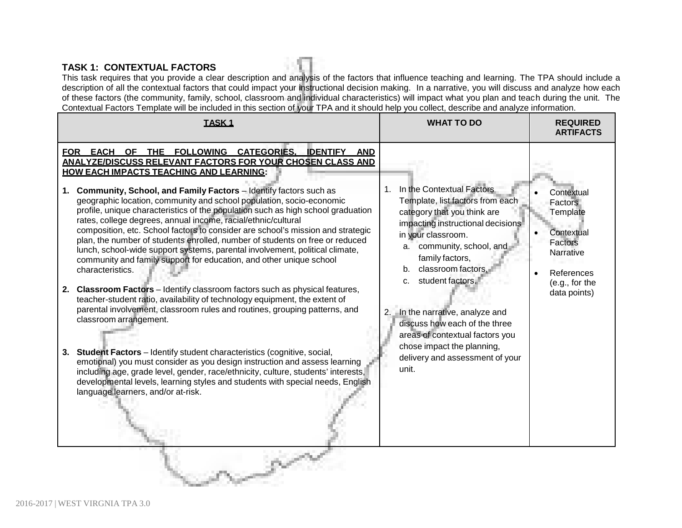### **TASK 1: CONTEXTUAL FACTORS**

This task requires that you provide a clear description and analysis of the factors that influence teaching and learning. The TPA should include a description of all the contextual factors that could impact your instructional decision making. In a narrative, you will discuss and analyze how each of these factors (the community, family, school, classroom and individual characteristics) will impact what you plan and teach during the unit. The Contextual Factors Template will be included in this section of your TPA and it should help you collect, describe and analyze information.

| <b>TASK1</b>                                                                                                                                                                                                                                                                                                                                                                                                                                                                                                                                                                                                                                                                                                                                                                                                                                                                                                                                                                                                                                                                                                                                                                                                                                                                                                                                                                                                                                                                                     | <b>WHAT TO DO</b>                                                                                                                                                                                                                                                                                                                                                                                                                                  | <b>REQUIRED</b><br><b>ARTIFACTS</b>                                                                                     |
|--------------------------------------------------------------------------------------------------------------------------------------------------------------------------------------------------------------------------------------------------------------------------------------------------------------------------------------------------------------------------------------------------------------------------------------------------------------------------------------------------------------------------------------------------------------------------------------------------------------------------------------------------------------------------------------------------------------------------------------------------------------------------------------------------------------------------------------------------------------------------------------------------------------------------------------------------------------------------------------------------------------------------------------------------------------------------------------------------------------------------------------------------------------------------------------------------------------------------------------------------------------------------------------------------------------------------------------------------------------------------------------------------------------------------------------------------------------------------------------------------|----------------------------------------------------------------------------------------------------------------------------------------------------------------------------------------------------------------------------------------------------------------------------------------------------------------------------------------------------------------------------------------------------------------------------------------------------|-------------------------------------------------------------------------------------------------------------------------|
| FOR EACH OF THE FOLLOWING CATEGORIES.<br><b>IDENTIFY AND</b><br><b>ANALYZE/DISCUSS RELEVANT FACTORS FOR YOUR CHOSEN CLASS AND</b><br><b>HOW EACH IMPACTS TEACHING AND LEARNING:</b><br>Community, School, and Family Factors - Identify factors such as<br>1.<br>geographic location, community and school population, socio-economic<br>profile, unique characteristics of the population such as high school graduation<br>rates, college degrees, annual income, racial/ethnic/cultural<br>composition, etc. School factors to consider are school's mission and strategic<br>plan, the number of students enrolled, number of students on free or reduced<br>lunch, school-wide support systems, parental involvement, political climate,<br>community and family support for education, and other unique school<br>characteristics.<br>2. Classroom Factors - Identify classroom factors such as physical features,<br>teacher-student ratio, availability of technology equipment, the extent of<br>parental involvement, classroom rules and routines, grouping patterns, and<br>classroom arrangement.<br><b>Student Factors</b> – Identify student characteristics (cognitive, social,<br>3.<br>emotional) you must consider as you design instruction and assess learning<br>including age, grade level, gender, race/ethnicity, culture, students' interests,<br>developmental levels, learning styles and students with special needs, English<br>language learners, and/or at-risk. | In the Contextual Factors<br>1.<br>Template, list factors from each<br>category that you think are<br>impacting instructional decisions<br>in your classroom.<br>a. community, school, and<br>family factors,<br>b. classroom factors.<br>student factors.<br>C.<br>2. In the narrative, analyze and<br>discuss how each of the three<br>areas of contextual factors you<br>chose impact the planning,<br>delivery and assessment of your<br>unit. | Contextual<br>Factors<br>Template<br>Contextual<br>Factors<br>Narrative<br>References<br>(e.g., for the<br>data points) |
|                                                                                                                                                                                                                                                                                                                                                                                                                                                                                                                                                                                                                                                                                                                                                                                                                                                                                                                                                                                                                                                                                                                                                                                                                                                                                                                                                                                                                                                                                                  |                                                                                                                                                                                                                                                                                                                                                                                                                                                    |                                                                                                                         |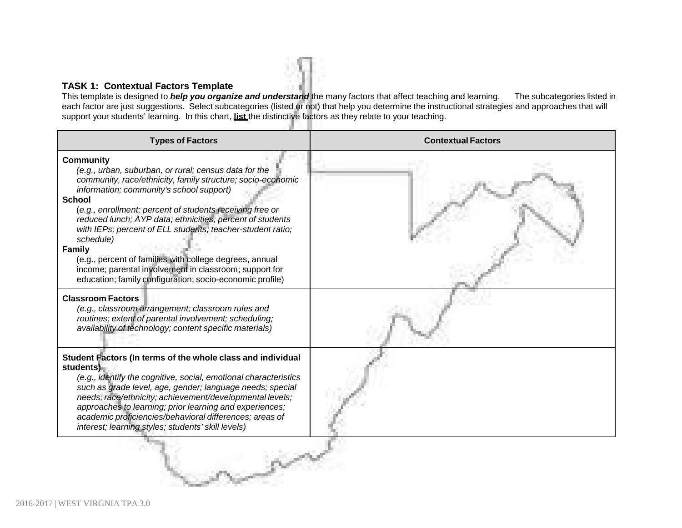#### **TASK 1: Contextual Factors Template**

This template is designed to *help you organize and understand* the many factors that affect teaching and learning. The subcategories listed in each factor are just suggestions. Select subcategories (listed or not) that help you determine the instructional strategies and approaches that will support your students' learning. In this chart, **list** the distinctive factors as they relate to your teaching.

| <b>Types of Factors</b>                                                                                                                                                                                                                                                                                                                                                                                                                                                                                                                                                                                     | <b>Contextual Factors</b> |
|-------------------------------------------------------------------------------------------------------------------------------------------------------------------------------------------------------------------------------------------------------------------------------------------------------------------------------------------------------------------------------------------------------------------------------------------------------------------------------------------------------------------------------------------------------------------------------------------------------------|---------------------------|
| <b>Community</b><br>(e.g., urban, suburban, or rural; census data for the<br>community, race/ethnicity, family structure; socio-economic<br>information; community's school support)<br><b>School</b><br>(e.g., enrollment; percent of students receiving free or<br>reduced lunch; AYP data; ethnicities; percent of students<br>with IEPs; percent of ELL students; teacher-student ratio;<br>schedule)<br><b>Family</b><br>(e.g., percent of families with college degrees, annual<br>income; parental involvement in classroom; support for<br>education; family configuration; socio-economic profile) |                           |
| <b>Classroom Factors</b><br>(e.g., classroom arrangement; classroom rules and<br>routines; extent of parental involvement; scheduling;<br>availability of technology; content specific materials)                                                                                                                                                                                                                                                                                                                                                                                                           |                           |
| Student Factors (In terms of the whole class and individual<br>students)<br>(e.g., identify the cognitive, social, emotional characteristics<br>such as grade level, age, gender; language needs; special<br>needs; race/ethnicity; achievement/developmental levels;<br>approaches to learning; prior learning and experiences;<br>academic proficiencies/behavioral differences; areas of<br>interest; learning styles; students' skill levels)                                                                                                                                                           |                           |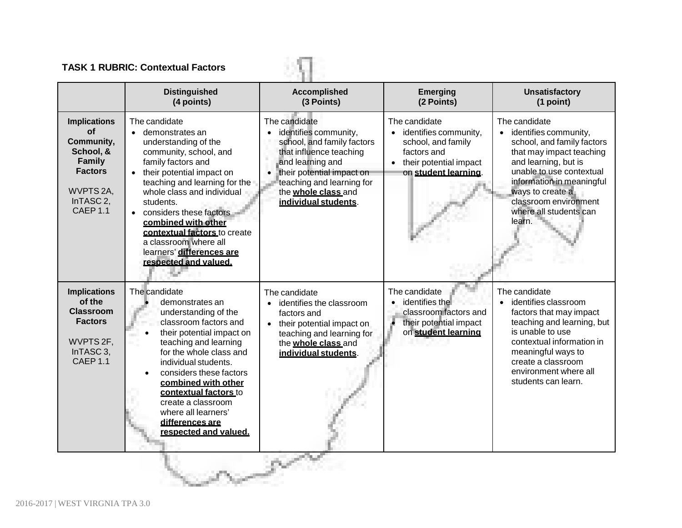# **TASK 1 RUBRIC: Contextual Factors**

|                                                                                                                                                         | <b>TASK 1 RUBRIC: Contextual Factors</b>                                                                                                                                                                                                                                                                                                                                                 |                                                                                                                                                                                                                                           |                                                                                                                                              |                                                                                                                                                                                                                                                                                 |  |  |  |
|---------------------------------------------------------------------------------------------------------------------------------------------------------|------------------------------------------------------------------------------------------------------------------------------------------------------------------------------------------------------------------------------------------------------------------------------------------------------------------------------------------------------------------------------------------|-------------------------------------------------------------------------------------------------------------------------------------------------------------------------------------------------------------------------------------------|----------------------------------------------------------------------------------------------------------------------------------------------|---------------------------------------------------------------------------------------------------------------------------------------------------------------------------------------------------------------------------------------------------------------------------------|--|--|--|
|                                                                                                                                                         | <b>Distinguished</b><br>(4 points)                                                                                                                                                                                                                                                                                                                                                       | <b>Accomplished</b><br>(3 Points)                                                                                                                                                                                                         | <b>Emerging</b><br>(2 Points)                                                                                                                | <b>Unsatisfactory</b><br>(1 point)                                                                                                                                                                                                                                              |  |  |  |
| <b>Implications</b><br><b>of</b><br>Community,<br>School, &<br><b>Family</b><br><b>Factors</b><br>WVPTS 2A,<br>InTASC <sub>2</sub> ,<br><b>CAEP 1.1</b> | The candidate<br>• demonstrates an<br>understanding of the<br>community, school, and<br>family factors and<br>• their potential impact on<br>teaching and learning for the<br>whole class and individual<br>students.<br>• considers these factors<br>combined with other<br>contextual factors to create<br>a classroom where all<br>learners' differences are<br>respected and valued. | The candidate<br>identifies community,<br>$\bullet$<br>school, and family factors<br>that influence teaching<br>and learning and<br>their potential impact on<br>teaching and learning for<br>the whole class and<br>individual students. | The candidate<br>identifies community,<br>$\bullet$<br>school, and family<br>factors and<br>• their potential impact<br>on student learning. | The candidate<br>identifies community,<br>$\bullet$<br>school, and family factors<br>that may impact teaching<br>and learning, but is<br>unable to use contextual<br>information in meaningful<br>ways to create a<br>classroom environment<br>where all students can<br>learn. |  |  |  |
| <b>Implications</b><br>of the<br><b>Classroom</b><br><b>Factors</b><br>WVPTS 2F,<br>InTASC <sub>3</sub> ,<br>CAEP <sub>1.1</sub>                        | The candidate<br>demonstrates an<br>understanding of the<br>classroom factors and<br>their potential impact on<br>teaching and learning<br>for the whole class and<br>individual students.<br>considers these factors<br>combined with other<br>contextual factors to<br>create a classroom<br>where all learners'<br>differences are<br>respected and valued.                           | The candidate<br>identifies the classroom<br>factors and<br>• their potential impact on<br>teaching and learning for<br>the whole class and<br>individual students.                                                                       | The candidate<br>• identifies the<br>classroom factors and<br>their potential impact<br>on student learning                                  | The candidate<br>identifies classroom<br>factors that may impact<br>teaching and learning, but<br>is unable to use<br>contextual information in<br>meaningful ways to<br>create a classroom<br>environment where all<br>students can learn.                                     |  |  |  |
|                                                                                                                                                         |                                                                                                                                                                                                                                                                                                                                                                                          |                                                                                                                                                                                                                                           |                                                                                                                                              |                                                                                                                                                                                                                                                                                 |  |  |  |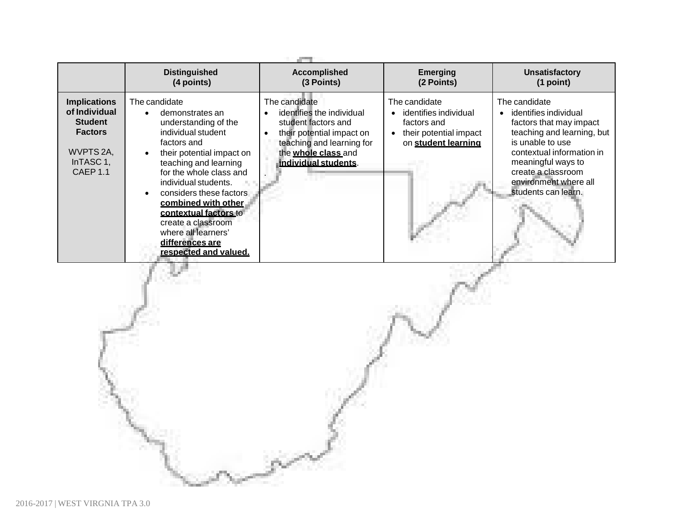|                                                                                                                       | <b>Distinguished</b><br>(4 points)                                                                                                                                                                                                                                                                                                                                         | <b>Accomplished</b><br>(3 Points)                                                                                                                                          | <b>Emerging</b><br>(2 Points)                                                                          | <b>Unsatisfactory</b><br>(1 point)                                                                                                                                                                                                           |
|-----------------------------------------------------------------------------------------------------------------------|----------------------------------------------------------------------------------------------------------------------------------------------------------------------------------------------------------------------------------------------------------------------------------------------------------------------------------------------------------------------------|----------------------------------------------------------------------------------------------------------------------------------------------------------------------------|--------------------------------------------------------------------------------------------------------|----------------------------------------------------------------------------------------------------------------------------------------------------------------------------------------------------------------------------------------------|
| <b>Implications</b><br>of Individual<br><b>Student</b><br><b>Factors</b><br>WVPTS 2A,<br>InTASC 1,<br><b>CAEP 1.1</b> | The candidate<br>demonstrates an<br>understanding of the<br>individual student<br>factors and<br>their potential impact on<br>teaching and learning<br>for the whole class and<br>individual students.<br>considers these factors<br>combined with other<br>contextual factors to<br>create a classroom<br>where all learners'<br>differences are<br>respected and valued. | The candidate<br>identifies the individual<br>student factors and<br>their potential impact on<br>teaching and learning for<br>the whole class and<br>individual students. | The candidate<br>identifies individual<br>factors and<br>their potential impact<br>on student learning | The candidate<br>identifies individual<br>factors that may impact<br>teaching and learning, but<br>is unable to use<br>contextual information in<br>meaningful ways to<br>create a classroom<br>environment where all<br>students can learn. |
|                                                                                                                       |                                                                                                                                                                                                                                                                                                                                                                            |                                                                                                                                                                            |                                                                                                        |                                                                                                                                                                                                                                              |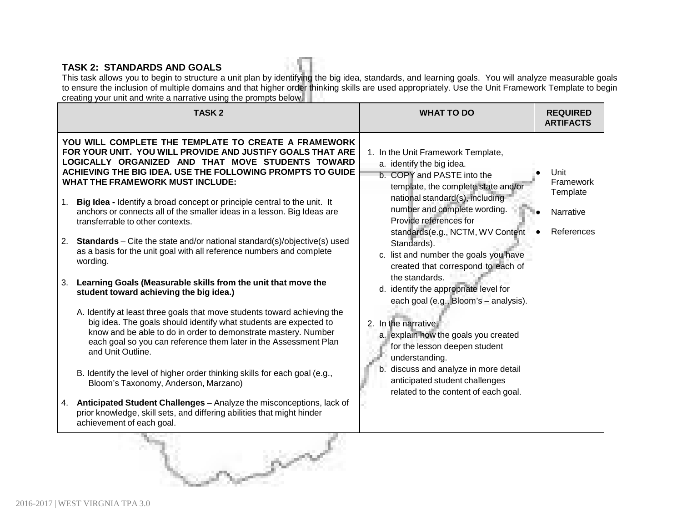### **TASK 2: STANDARDS AND GOALS**

This task allows you to begin to structure a unit plan by identifying the big idea, standards, and learning goals. You will analyze measurable goals to ensure the inclusion of multiple domains and that higher order thinking skills are used appropriately. Use the Unit Framework Template to begin creating your unit and write a narrative using the prompts below.

| <b>TASK2</b>                                                                                                                                                                                                                                                                                                                                                                                                                                                                                                                                                                                                                                                                                                                                                                                                                                                                                                                                                                                                                                                                                                                                                                                                                                                                                                                                                                                            | <b>WHAT TO DO</b>                                                                                                                                                                                                                                                                                                                                                                                                                                                                                                                                                                                                                                                                                             | <b>REQUIRED</b><br><b>ARTIFACTS</b>                      |
|---------------------------------------------------------------------------------------------------------------------------------------------------------------------------------------------------------------------------------------------------------------------------------------------------------------------------------------------------------------------------------------------------------------------------------------------------------------------------------------------------------------------------------------------------------------------------------------------------------------------------------------------------------------------------------------------------------------------------------------------------------------------------------------------------------------------------------------------------------------------------------------------------------------------------------------------------------------------------------------------------------------------------------------------------------------------------------------------------------------------------------------------------------------------------------------------------------------------------------------------------------------------------------------------------------------------------------------------------------------------------------------------------------|---------------------------------------------------------------------------------------------------------------------------------------------------------------------------------------------------------------------------------------------------------------------------------------------------------------------------------------------------------------------------------------------------------------------------------------------------------------------------------------------------------------------------------------------------------------------------------------------------------------------------------------------------------------------------------------------------------------|----------------------------------------------------------|
| YOU WILL COMPLETE THE TEMPLATE TO CREATE A FRAMEWORK<br>FOR YOUR UNIT. YOU WILL PROVIDE AND JUSTIFY GOALS THAT ARE<br>LOGICALLY ORGANIZED AND THAT MOVE STUDENTS TOWARD<br>ACHIEVING THE BIG IDEA. USE THE FOLLOWING PROMPTS TO GUIDE<br><b>WHAT THE FRAMEWORK MUST INCLUDE:</b><br>Big Idea - Identify a broad concept or principle central to the unit. It<br>1.<br>anchors or connects all of the smaller ideas in a lesson. Big Ideas are<br>transferrable to other contexts.<br><b>Standards</b> – Cite the state and/or national standard(s)/objective(s) used<br>2.<br>as a basis for the unit goal with all reference numbers and complete<br>wording.<br>Learning Goals (Measurable skills from the unit that move the<br>3.<br>student toward achieving the big idea.)<br>A. Identify at least three goals that move students toward achieving the<br>big idea. The goals should identify what students are expected to<br>know and be able to do in order to demonstrate mastery. Number<br>each goal so you can reference them later in the Assessment Plan<br>and Unit Outline.<br>B. Identify the level of higher order thinking skills for each goal (e.g.,<br>Bloom's Taxonomy, Anderson, Marzano)<br>Anticipated Student Challenges - Analyze the misconceptions, lack of<br>4.<br>prior knowledge, skill sets, and differing abilities that might hinder<br>achievement of each goal. | 1. In the Unit Framework Template,<br>a. identify the big idea.<br>b. COPY and PASTE into the<br>template, the complete state and/or<br>national standard(s), including<br>number and complete wording.<br>Provide references for<br>standards(e.g., NCTM, WV Content<br>Standards).<br>c. list and number the goals you have<br>created that correspond to each of<br>the standards.<br>d. identify the appropriate level for<br>each goal (e.g., Bloom's - analysis).<br>2. In the narrative,<br>a. explain how the goals you created<br>for the lesson deepen student<br>understanding.<br>b. discuss and analyze in more detail<br>anticipated student challenges<br>related to the content of each goal. | Unit<br>Framework<br>Template<br>Narrative<br>References |

g/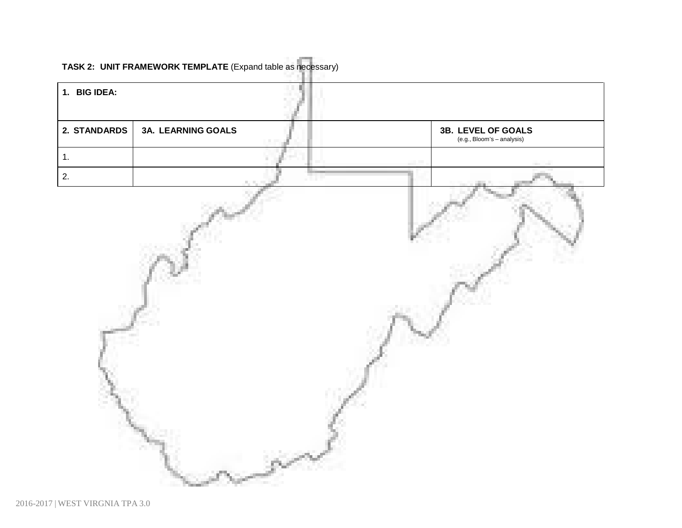# **TASK 2: UNIT FRAMEWORK TEMPLATE** (Expand table as necessary)

| 1. BIG IDEA: |                    |  |                                                      |
|--------------|--------------------|--|------------------------------------------------------|
| 2. STANDARDS | 3A. LEARNING GOALS |  | <b>3B. LEVEL OF GOALS</b> (e.g., Bloom's – analysis) |
| 1.           |                    |  |                                                      |
| 2.           |                    |  |                                                      |
|              |                    |  |                                                      |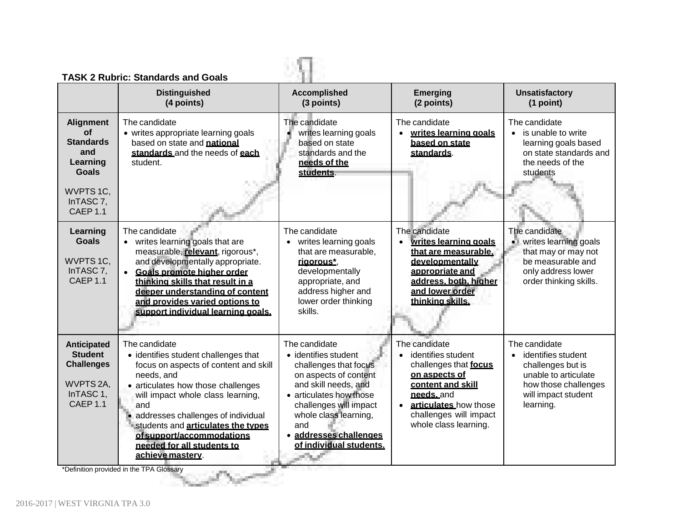|                                                                                                                            | <b>TASK 2 Rubric: Standards and Goals</b>                                                                                                                                                                                                                                                                                                                                                                   |                                                                                                                                                                                                                                                           |                                                                                                                                                                                                          |                                                                                                                                              |
|----------------------------------------------------------------------------------------------------------------------------|-------------------------------------------------------------------------------------------------------------------------------------------------------------------------------------------------------------------------------------------------------------------------------------------------------------------------------------------------------------------------------------------------------------|-----------------------------------------------------------------------------------------------------------------------------------------------------------------------------------------------------------------------------------------------------------|----------------------------------------------------------------------------------------------------------------------------------------------------------------------------------------------------------|----------------------------------------------------------------------------------------------------------------------------------------------|
|                                                                                                                            | <b>Distinguished</b><br>(4 points)                                                                                                                                                                                                                                                                                                                                                                          | <b>Accomplished</b><br>(3 points)                                                                                                                                                                                                                         | <b>Emerging</b><br>(2 points)                                                                                                                                                                            | <b>Unsatisfactory</b><br>(1 point)                                                                                                           |
| <b>Alignment</b><br>of<br><b>Standards</b><br>and<br>Learning<br><b>Goals</b><br>WVPTS 1C,<br>InTASC 7,<br><b>CAEP 1.1</b> | The candidate<br>• writes appropriate learning goals<br>based on state and national<br>standards and the needs of each<br>student.                                                                                                                                                                                                                                                                          | The candidate<br>writes learning goals<br>based on state<br>standards and the<br>needs of the<br>students.                                                                                                                                                | The candidate<br>writes learning goals<br>based on state<br>standards.                                                                                                                                   | The candidate<br>is unable to write<br>learning goals based<br>on state standards and<br>the needs of the<br>students                        |
| Learning<br><b>Goals</b><br>WVPTS 1C,<br>InTASC <sub>7</sub> ,<br><b>CAEP 1.1</b>                                          | The candidate<br>• writes learning goals that are<br>measurable, relevant, rigorous*,<br>and developmentally appropriate.<br>Goals promote higher order<br>$\bullet$<br>thinking skills that result in a<br>deeper understanding of content<br>and provides varied options to<br>support individual learning goals.                                                                                         | The candidate<br>writes learning goals<br>$\bullet$<br>that are measurable,<br>rigorous*,<br>developmentally<br>appropriate, and<br>address higher and<br>lower order thinking<br>skills.                                                                 | The candidate<br>writes learning goals<br>$\bullet$<br>that are measurable.<br>developmentally<br>appropriate and<br>address, both, higher<br>and lower order<br>thinking skills.                        | The candidate<br>writes learning goals<br>that may or may not<br>be measurable and<br>only address lower<br>order thinking skills.           |
| Anticipated<br><b>Student</b><br><b>Challenges</b><br>WVPTS 2A,<br>InTASC 1,<br><b>CAEP 1.1</b>                            | The candidate<br>• identifies student challenges that<br>focus on aspects of content and skill<br>needs, and<br>• articulates how those challenges<br>will impact whole class learning,<br>and<br>addresses challenges of individual<br>students and <b>articulates the types</b><br>of support/accommodations<br>needed for all students to<br>achieve mastery.<br>*Definition provided in the TPA Glosson | The candidate<br>• identifies student<br>challenges that focus<br>on aspects of content<br>and skill needs, and<br>• articulates how those<br>challenges will impact<br>whole class learning,<br>and<br>· addresses challenges<br>of individual students. | The candidate<br>identifies student<br>challenges that focus<br>on aspects of<br>content and skill<br>needs.and<br>articulates how those<br>$\bullet$<br>challenges will impact<br>whole class learning. | The candidate<br>identifies student<br>challenges but is<br>unable to articulate<br>how those challenges<br>will impact student<br>learning. |

\*Definition provided in the TPA Glossary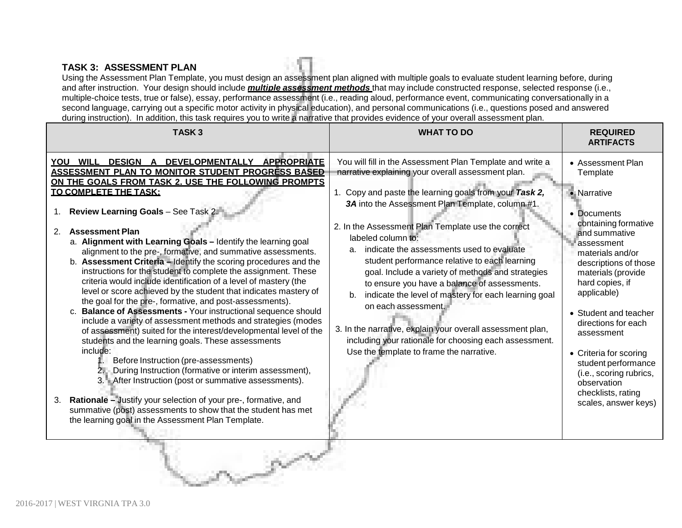#### **TASK 3: ASSESSMENT PLAN**

Using the Assessment Plan Template, you must design an assessment plan aligned with multiple goals to evaluate student learning before, during and after instruction. Your design should include *multiple assessment methods* that may include constructed response, selected response (i.e., multiple-choice tests, true or false), essay, performance assessment (i.e., reading aloud, performance event, communicating conversationally in a second language, carrying out a specific motor activity in physical education), and personal communications (i.e., questions posed and answered during instruction). In addition, this task requires you to write a narrative that provides evidence of your overall assessment plan.

| YOU WILL DESIGN A DEVELOPMENTALLY APPROPRIATE<br>You will fill in the Assessment Plan Template and write a<br>• Assessment Plan<br>ASSESSMENT PLAN TO MONITOR STUDENT PROGRESS BASED<br>narrative explaining your overall assessment plan.<br>Template<br>ON THE GOALS FROM TASK 2. USE THE FOLLOWING PROMPTS<br><b>TO COMPLETE THE TASK:</b><br>1. Copy and paste the learning goals from your Task 2,<br>• Narrative<br>3A into the Assessment Plan Template, column #1.<br>Review Learning Goals - See Task 2.<br>• Documents<br>containing formative<br>2. In the Assessment Plan Template use the correct<br><b>Assessment Plan</b><br>2.<br>and summative<br>labeled column to:<br>a. Alignment with Learning Goals - Identify the learning goal<br>assessment<br>indicate the assessments used to evaluate<br>a.<br>alignment to the pre-, formative, and summative assessments.<br>materials and/or<br>b. Assessment Criteria - Identify the scoring procedures and the<br>student performance relative to each learning<br>descriptions of those<br>instructions for the student to complete the assignment. These<br>goal. Include a variety of methods and strategies<br>materials (provide<br>criteria would include identification of a level of mastery (the<br>hard copies, if<br>to ensure you have a balance of assessments.<br>level or score achieved by the student that indicates mastery of<br>applicable)<br>indicate the level of mastery for each learning goal<br>b.<br>the goal for the pre-, formative, and post-assessments).<br>on each assessment.<br>c. Balance of Assessments - Your instructional sequence should<br>• Student and teacher<br>include a variety of assessment methods and strategies (modes<br>directions for each<br>3. In the narrative, explain your overall assessment plan,<br>of assessment) suited for the interest/developmental level of the<br>assessment<br>including your rationale for choosing each assessment.<br>students and the learning goals. These assessments<br>include:<br>Use the template to frame the narrative.<br>• Criteria for scoring<br>Before Instruction (pre-assessments)<br>student performance<br>During Instruction (formative or interim assessment),<br>(i.e., scoring rubrics,<br>3. After Instruction (post or summative assessments).<br>observation<br>checklists, rating<br>Rationale - Justify your selection of your pre-, formative, and<br>3.<br>scales, answer keys)<br>summative (post) assessments to show that the student has met<br>the learning goal in the Assessment Plan Template. | TASK <sub>3</sub> | <b>WHAT TO DO</b> | <b>REQUIRED</b><br><b>ARTIFACTS</b> |
|--------------------------------------------------------------------------------------------------------------------------------------------------------------------------------------------------------------------------------------------------------------------------------------------------------------------------------------------------------------------------------------------------------------------------------------------------------------------------------------------------------------------------------------------------------------------------------------------------------------------------------------------------------------------------------------------------------------------------------------------------------------------------------------------------------------------------------------------------------------------------------------------------------------------------------------------------------------------------------------------------------------------------------------------------------------------------------------------------------------------------------------------------------------------------------------------------------------------------------------------------------------------------------------------------------------------------------------------------------------------------------------------------------------------------------------------------------------------------------------------------------------------------------------------------------------------------------------------------------------------------------------------------------------------------------------------------------------------------------------------------------------------------------------------------------------------------------------------------------------------------------------------------------------------------------------------------------------------------------------------------------------------------------------------------------------------------------------------------------------------------------------------------------------------------------------------------------------------------------------------------------------------------------------------------------------------------------------------------------------------------------------------------------------------------------------------------------------------------------------------------------------------------------------------------------------------------------------------------|-------------------|-------------------|-------------------------------------|
|                                                                                                                                                                                                                                                                                                                                                                                                                                                                                                                                                                                                                                                                                                                                                                                                                                                                                                                                                                                                                                                                                                                                                                                                                                                                                                                                                                                                                                                                                                                                                                                                                                                                                                                                                                                                                                                                                                                                                                                                                                                                                                                                                                                                                                                                                                                                                                                                                                                                                                                                                                                                  |                   |                   |                                     |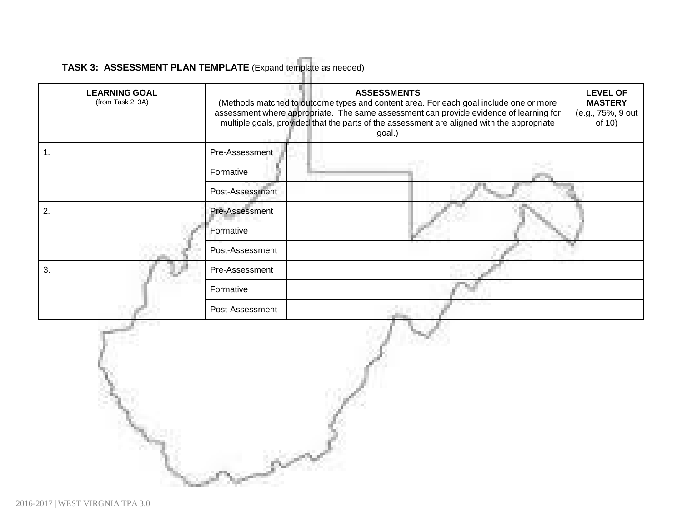# **TASK 3: ASSESSMENT PLAN TEMPLATE** (Expand template as needed)

| <b>LEARNING GOAL</b><br>(from Task 2, 3A) |                 | <b>ASSESSMENTS</b><br>(Methods matched to outcome types and content area. For each goal include one or more<br>assessment where appropriate. The same assessment can provide evidence of learning for<br>multiple goals, provided that the parts of the assessment are aligned with the appropriate<br>goal.) | <b>LEVEL OF</b><br><b>MASTERY</b><br>(e.g., 75%, 9 out<br>of 10) |
|-------------------------------------------|-----------------|---------------------------------------------------------------------------------------------------------------------------------------------------------------------------------------------------------------------------------------------------------------------------------------------------------------|------------------------------------------------------------------|
| 1.                                        | Pre-Assessment  |                                                                                                                                                                                                                                                                                                               |                                                                  |
|                                           | Formative       |                                                                                                                                                                                                                                                                                                               |                                                                  |
|                                           | Post-Assessment |                                                                                                                                                                                                                                                                                                               |                                                                  |
| 2.                                        | Pre-Assessment  |                                                                                                                                                                                                                                                                                                               |                                                                  |
|                                           | Formative       |                                                                                                                                                                                                                                                                                                               |                                                                  |
|                                           | Post-Assessment |                                                                                                                                                                                                                                                                                                               |                                                                  |
| 3.                                        | Pre-Assessment  |                                                                                                                                                                                                                                                                                                               |                                                                  |
|                                           | Formative       |                                                                                                                                                                                                                                                                                                               |                                                                  |
|                                           | Post-Assessment |                                                                                                                                                                                                                                                                                                               |                                                                  |
|                                           |                 |                                                                                                                                                                                                                                                                                                               |                                                                  |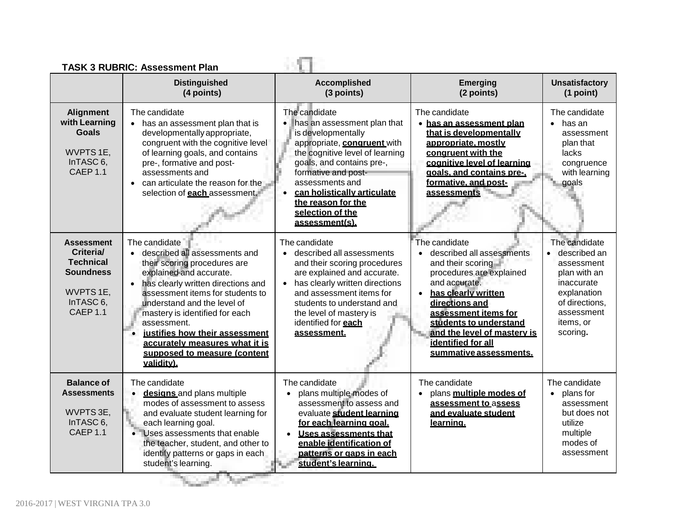| <b>TASK 3 RUBRIC: Assessment Plan</b><br><b>Distinguished</b><br><b>Accomplished</b><br><b>Unsatisfactory</b><br><b>Emerging</b> |                                                                                                                                                                                                                                                                                                                                                                                                      |                                                                                                                                                                                                                                                                                                                       |                                                                                                                                                                                                                                                                                        |                                                                                                                                                     |  |  |
|----------------------------------------------------------------------------------------------------------------------------------|------------------------------------------------------------------------------------------------------------------------------------------------------------------------------------------------------------------------------------------------------------------------------------------------------------------------------------------------------------------------------------------------------|-----------------------------------------------------------------------------------------------------------------------------------------------------------------------------------------------------------------------------------------------------------------------------------------------------------------------|----------------------------------------------------------------------------------------------------------------------------------------------------------------------------------------------------------------------------------------------------------------------------------------|-----------------------------------------------------------------------------------------------------------------------------------------------------|--|--|
|                                                                                                                                  | (4 points)                                                                                                                                                                                                                                                                                                                                                                                           | (3 points)                                                                                                                                                                                                                                                                                                            | (2 points)                                                                                                                                                                                                                                                                             | (1 point)                                                                                                                                           |  |  |
| <b>Alignment</b><br>with Learning<br><b>Goals</b><br>WVPTS 1E,<br>InTASC <sub>6</sub> ,<br>CAEP <sub>1.1</sub>                   | The candidate<br>• has an assessment plan that is<br>developmentally appropriate,<br>congruent with the cognitive level<br>of learning goals, and contains<br>pre-, formative and post-<br>assessments and<br>can articulate the reason for the<br>$\bullet$<br>selection of <b>each</b> assessment.                                                                                                 | The candidate<br>• has an assessment plan that<br>is developmentally<br>appropriate, congruent with<br>the cognitive level of learning<br>goals, and contains pre-,<br>formative and post-<br>assessments and<br>can holistically articulate<br>$\bullet$<br>the reason for the<br>selection of the<br>assessment(s). | The candidate<br>• has an assessment plan<br>that is developmentally<br>appropriate, mostly<br>congruent with the<br>cognitive level of learning<br>goals, and contains pre-<br>formative, and post-<br>assessments                                                                    | The candidate<br>$\bullet$ has an<br>assessment<br>plan that<br>lacks<br>congruence<br>with learning<br>goals                                       |  |  |
| <b>Assessment</b><br>Criteria/<br><b>Technical</b><br><b>Soundness</b><br>WVPTS 1E,<br>InTASC 6,<br>CAEP <sub>1.1</sub>          | The candidate<br>• described all assessments and<br>their scoring procedures are<br>explained and accurate.<br>has clearly written directions and<br>$\bullet$<br>assessment items for students to<br>understand and the level of<br>mastery is identified for each<br>assessment.<br>justifies how their assessment<br>accurately measures what it is<br>supposed to measure (content<br>validity). | The candidate<br>described all assessments<br>$\bullet$<br>and their scoring procedures<br>are explained and accurate.<br>has clearly written directions<br>and assessment items for<br>students to understand and<br>the level of mastery is<br>identified for each<br>assessment.                                   | The candidate<br>described all assessments<br>and their scoring<br>procedures are explained<br>and accurate.<br>has clearly written<br>directions and<br>assessment items for<br>students to understand<br>and the level of mastery is<br>identified for all<br>summative assessments. | The candidate<br>· described an<br>assessment<br>plan with an<br>inaccurate<br>explanation<br>of directions,<br>assessment<br>items, or<br>scoring. |  |  |
| <b>Balance of</b><br><b>Assessments</b><br>WVPTS 3E,<br>InTASC 6,<br>CAEP <sub>1.1</sub>                                         | The candidate<br>designs and plans multiple<br>$\bullet$<br>modes of assessment to assess<br>and evaluate student learning for<br>each learning goal.<br>Uses assessments that enable<br>the teacher, student, and other to<br>identify patterns or gaps in each<br>student's learning.                                                                                                              | The candidate<br>plans multiple modes of<br>assessment to assess and<br>evaluate student learning<br>for each learning goal.<br><b>Uses assessments that</b><br>$\bullet$<br>enable identification of<br>patterns or gaps in each<br>student's learning.                                                              | The candidate<br>plans multiple modes of<br>assessment to assess<br>and evaluate student<br>learning.                                                                                                                                                                                  | The candidate<br>$\bullet$ plans for<br>assessment<br>but does not<br>utilize<br>multiple<br>modes of<br>assessment                                 |  |  |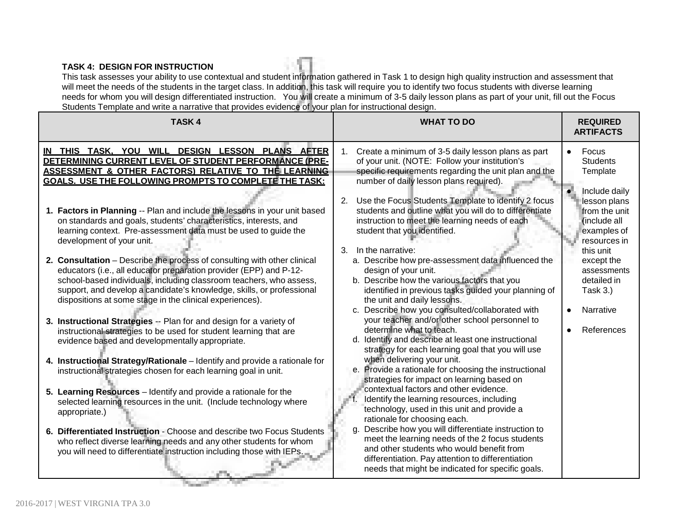#### **TASK 4: DESIGN FOR INSTRUCTION**

This task assesses your ability to use contextual and student information gathered in Task 1 to design high quality instruction and assessment that will meet the needs of the students in the target class. In addition, this task will require you to identify two focus students with diverse learning needs for whom you will design differentiated instruction. You will create a minimum of 3-5 daily lesson plans as part of your unit, fill out the Focus Students Template and write a narrative that provides evidence of your plan for instructional design.

| <b>TASK4</b>                                                                                                                                                                                                                                                                                                                                                                                                                                                                                                                                                                                                                                                                                                                                                                                                                                                                                                                                                                                                                                                                                                                                                                                                                                                                                                                                                                                                                                                                                                                                                                                | <b>WHAT TO DO</b>                                                                                                                                                                                                                                                                                                                                                                                                                                                                                                                                                                                                                                                                                                                                                                                                                                                                                                                                                                                                                                                                                                                                                                                                                                                                                                                                                                                                                                                                                                 | <b>REQUIRED</b><br><b>ARTIFACTS</b>                                                                                                                                                                                                   |
|---------------------------------------------------------------------------------------------------------------------------------------------------------------------------------------------------------------------------------------------------------------------------------------------------------------------------------------------------------------------------------------------------------------------------------------------------------------------------------------------------------------------------------------------------------------------------------------------------------------------------------------------------------------------------------------------------------------------------------------------------------------------------------------------------------------------------------------------------------------------------------------------------------------------------------------------------------------------------------------------------------------------------------------------------------------------------------------------------------------------------------------------------------------------------------------------------------------------------------------------------------------------------------------------------------------------------------------------------------------------------------------------------------------------------------------------------------------------------------------------------------------------------------------------------------------------------------------------|-------------------------------------------------------------------------------------------------------------------------------------------------------------------------------------------------------------------------------------------------------------------------------------------------------------------------------------------------------------------------------------------------------------------------------------------------------------------------------------------------------------------------------------------------------------------------------------------------------------------------------------------------------------------------------------------------------------------------------------------------------------------------------------------------------------------------------------------------------------------------------------------------------------------------------------------------------------------------------------------------------------------------------------------------------------------------------------------------------------------------------------------------------------------------------------------------------------------------------------------------------------------------------------------------------------------------------------------------------------------------------------------------------------------------------------------------------------------------------------------------------------------|---------------------------------------------------------------------------------------------------------------------------------------------------------------------------------------------------------------------------------------|
| IN THIS TASK, YOU WILL DESIGN LESSON PLANS AFTER<br>DETERMINING CURRENT LEVEL OF STUDENT PERFORMANCE (PRE-<br><u>ASSESSMENT &amp; OTHER FACTORS) RELATIVE TO THE LEARNING</u><br>GOALS. USE THE FOLLOWING PROMPTS TO COMPLETE THE TASK:<br>1. Factors in Planning -- Plan and include the lessons in your unit based<br>on standards and goals, students' characteristics, interests, and<br>learning context. Pre-assessment data must be used to guide the<br>development of your unit.<br>2. Consultation - Describe the process of consulting with other clinical<br>educators (i.e., all educator preparation provider (EPP) and P-12-<br>school-based individuals, including classroom teachers, who assess,<br>support, and develop a candidate's knowledge, skills, or professional<br>dispositions at some stage in the clinical experiences).<br>3. Instructional Strategies -- Plan for and design for a variety of<br>instructional strategies to be used for student learning that are<br>evidence based and developmentally appropriate.<br>4. Instructional Strategy/Rationale - Identify and provide a rationale for<br>instructional strategies chosen for each learning goal in unit.<br>5. Learning Resources - Identify and provide a rationale for the<br>selected learning resources in the unit. (Include technology where<br>appropriate.)<br>6. Differentiated Instruction - Choose and describe two Focus Students<br>who reflect diverse learning needs and any other students for whom<br>you will need to differentiate instruction including those with IEPs. | Create a minimum of 3-5 daily lesson plans as part<br>1.<br>of your unit. (NOTE: Follow your institution's<br>specific requirements regarding the unit plan and the<br>number of daily lesson plans required).<br>Use the Focus Students Template to identify 2 focus<br>2.<br>students and outline what you will do to differentiate<br>instruction to meet the learning needs of each<br>student that you identified.<br>In the narrative:<br>3 <sub>1</sub><br>a. Describe how pre-assessment data influenced the<br>design of your unit.<br>b. Describe how the various factors that you<br>identified in previous tasks guided your planning of<br>the unit and daily lessons.<br>c. Describe how you consulted/collaborated with<br>your teacher and/or other school personnel to<br>determine what to teach.<br>d. Identify and describe at least one instructional<br>strategy for each learning goal that you will use<br>when delivering your unit.<br>e. Provide a rationale for choosing the instructional<br>strategies for impact on learning based on<br>contextual factors and other evidence.<br>Identify the learning resources, including<br>technology, used in this unit and provide a<br>rationale for choosing each.<br>Describe how you will differentiate instruction to<br>q.<br>meet the learning needs of the 2 focus students<br>and other students who would benefit from<br>differentiation. Pay attention to differentiation<br>needs that might be indicated for specific goals. | Focus<br><b>Students</b><br>Template<br>Include daily<br>lesson plans<br>from the unit<br>(include all<br>examples of<br>resources in<br>this unit<br>except the<br>assessments<br>detailed in<br>Task 3.)<br>Narrative<br>References |

**Service Controller**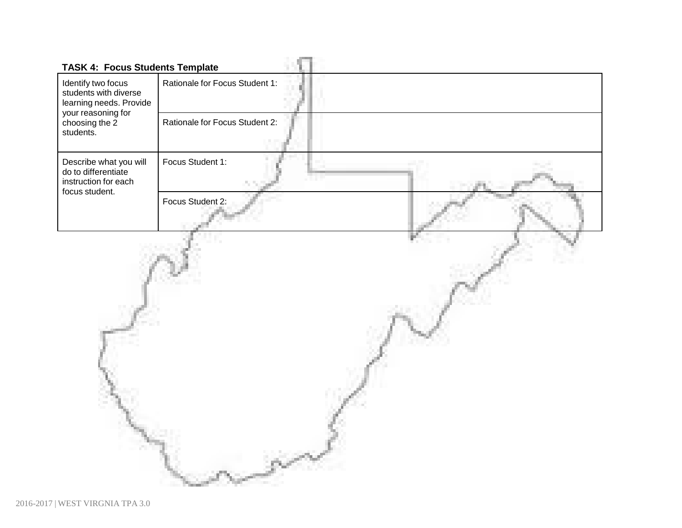| <b>TASK 4: Focus Students Template</b>                                                  |                                |
|-----------------------------------------------------------------------------------------|--------------------------------|
| Identify two focus<br>students with diverse<br>learning needs. Provide                  | Rationale for Focus Student 1: |
| your reasoning for<br>choosing the 2<br>students.                                       | Rationale for Focus Student 2: |
| Describe what you will<br>do to differentiate<br>instruction for each<br>focus student. | Focus Student 1:               |
|                                                                                         | Focus Student 2:               |
|                                                                                         |                                |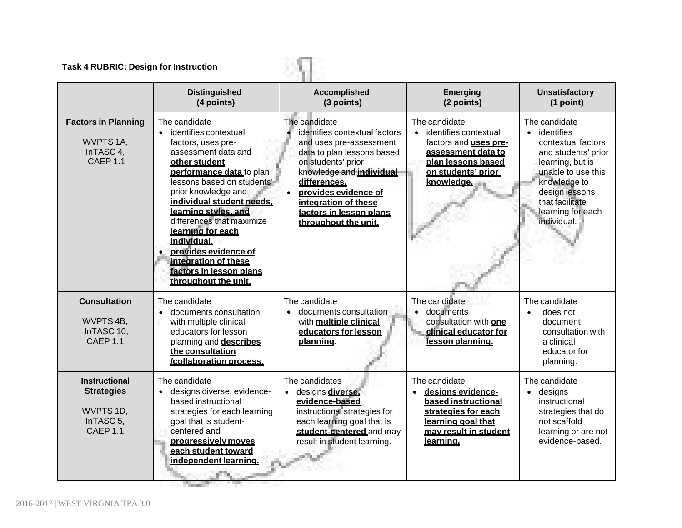| <b>Task 4 RUBRIC: Design for Instruction</b>                                                           |                                                                                                                                                                                                                                                                                                                                                                                                                             |                                                                                                                                                                                                                                                                                                  |                                                                                                                                                           |                                                                                                                                                                                                               |
|--------------------------------------------------------------------------------------------------------|-----------------------------------------------------------------------------------------------------------------------------------------------------------------------------------------------------------------------------------------------------------------------------------------------------------------------------------------------------------------------------------------------------------------------------|--------------------------------------------------------------------------------------------------------------------------------------------------------------------------------------------------------------------------------------------------------------------------------------------------|-----------------------------------------------------------------------------------------------------------------------------------------------------------|---------------------------------------------------------------------------------------------------------------------------------------------------------------------------------------------------------------|
|                                                                                                        | <b>Distinguished</b><br>(4 points)                                                                                                                                                                                                                                                                                                                                                                                          | <b>Accomplished</b><br>(3 points)                                                                                                                                                                                                                                                                | <b>Emerging</b><br>(2 points)                                                                                                                             | <b>Unsatisfactory</b><br>(1 point)                                                                                                                                                                            |
| <b>Factors in Planning</b><br>WVPTS 1A,<br>InTASC 4,<br>CAEP <sub>1.1</sub>                            | The candidate<br>identifies contextual<br>$\bullet$<br>factors, uses pre-<br>assessment data and<br>other student<br>performance data to plan<br>lessons based on students'<br>prior knowledge and<br>individual student needs.<br>learning styles, and<br>differences that maximize<br>learning for each<br>individual.<br>provides evidence of<br>integration of these<br>factors in lesson plans<br>throughout the unit. | The candidate<br>identifies contextual factors<br>and uses pre-assessment<br>data to plan lessons based<br>on students' prior<br>knowledge and <b>individual</b><br>differences.<br>provides evidence of<br>$\bullet$<br>integration of these<br>factors in lesson plans<br>throughout the unit. | The candidate<br>• identifies contextual<br>factors and <b>uses pre-</b><br>assessment data to<br>plan lessons based<br>on students' prior<br>knowledge.  | The candidate<br>• identifies<br>contextual factors<br>and students' prior<br>learning, but is<br>unable to use this<br>knowledge to<br>design lessons<br>that facilitate<br>learning for each<br>individual. |
| <b>Consultation</b><br>WVPTS 4B,<br>InTASC 10,<br><b>CAEP 1.1</b>                                      | The candidate<br>documents consultation<br>with multiple clinical<br>educators for lesson<br>planning and describes<br>the consultation<br>/collaboration process.                                                                                                                                                                                                                                                          | The candidate<br>documents consultation<br>$\bullet$<br>with multiple clinical<br>educators for lesson<br>planning.                                                                                                                                                                              | The candidate<br>documents<br>consultation with one<br>clinical educator for<br>lesson planning.                                                          | The candidate<br>does not<br>$\bullet$<br>document<br>consultation with<br>a clinical<br>educator for<br>planning.                                                                                            |
| <b>Instructional</b><br><b>Strategies</b><br>WVPTS 1D,<br>InTASC <sub>5</sub> ,<br>CAEP <sub>1.1</sub> | The candidate<br>· designs diverse, evidence-<br>based instructional<br>strategies for each learning<br>goal that is student-<br>centered and<br>progressively moves<br>each student toward<br>independent learning.                                                                                                                                                                                                        | The candidates<br>designs diverse.<br>$\bullet$<br>evidence-based<br>instructional strategies for<br>each learning goal that is<br>student-centered and may<br>result in student learning.                                                                                                       | The candidate<br>designs evidence-<br>$\bullet$<br>based instructional<br>strategies for each<br>learning goal that<br>may result in student<br>learning. | The candidate<br>$\bullet$ designs<br>instructional<br>strategies that do<br>not scaffold<br>learning or are not<br>evidence-based.                                                                           |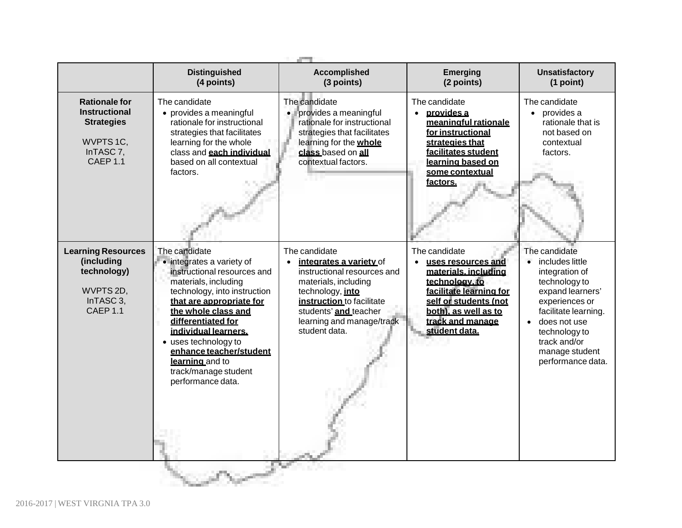|                                                                                                                            | <b>Distinguished</b><br>(4 points)                                                                                                                                                                                                                                                                                                                    | <b>Accomplished</b><br>(3 points)                                                                                                                                                                                                    | <b>Emerging</b><br>(2 points)                                                                                                                                                                  | <b>Unsatisfactory</b><br>(1 point)                                                                                                                                                                                                     |
|----------------------------------------------------------------------------------------------------------------------------|-------------------------------------------------------------------------------------------------------------------------------------------------------------------------------------------------------------------------------------------------------------------------------------------------------------------------------------------------------|--------------------------------------------------------------------------------------------------------------------------------------------------------------------------------------------------------------------------------------|------------------------------------------------------------------------------------------------------------------------------------------------------------------------------------------------|----------------------------------------------------------------------------------------------------------------------------------------------------------------------------------------------------------------------------------------|
| <b>Rationale for</b><br><b>Instructional</b><br><b>Strategies</b><br>WVPTS 1C.<br>InTASC <sub>7</sub> ,<br><b>CAEP 1.1</b> | The candidate<br>• provides a meaningful<br>rationale for instructional<br>strategies that facilitates<br>learning for the whole<br>class and each individual<br>based on all contextual<br>factors.                                                                                                                                                  | The candidate<br>provides a meaningful<br>rationale for instructional<br>strategies that facilitates<br>learning for the <b>whole</b><br>class based on all<br>contextual factors.                                                   | The candidate<br>provides a<br>$\bullet$<br>meaningful rationale<br>for instructional<br>strategies that<br>facilitates student<br>learning based on<br>some contextual<br>factors.            | The candidate<br>• provides a<br>rationale that is<br>not based on<br>contextual<br>factors.                                                                                                                                           |
| <b>Learning Resources</b><br>(including<br>technology)<br>WVPTS 2D,<br>InTASC 3,<br>CAEP <sub>1.1</sub>                    | The candidate<br>• integrates a variety of<br>instructional resources and<br>materials, including<br>technology, into instruction<br>that are appropriate for<br>the whole class and<br>differentiated for<br>individual learners.<br>• uses technology to<br>enhance teacher/student<br>learning and to<br>track/manage student<br>performance data. | The candidate<br>integrates a variety of<br>$\bullet$<br>instructional resources and<br>materials, including<br>technology, into<br>instruction to facilitate<br>students' and teacher<br>learning and manage/track<br>student data. | The candidate<br>uses resources and<br>materials, including<br>technology, to<br>facilitate learning for<br>self or students (not<br>both), as well as to<br>track and manage<br>student data. | The candidate<br>$\bullet$<br>includes little<br>integration of<br>technology to<br>expand learners'<br>experiences or<br>facilitate learning.<br>does not use<br>technology to<br>track and/or<br>manage student<br>performance data. |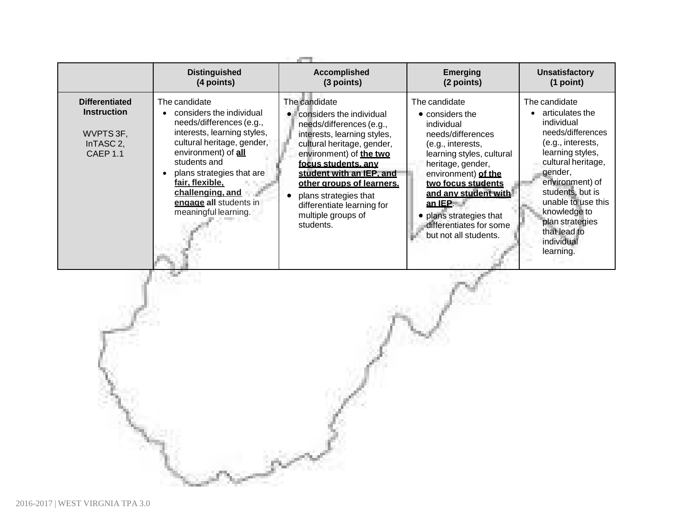|                                                                                              | <b>Distinguished</b><br>(4 points)                                                                                                                                                                                                                                                              | <b>Accomplished</b><br><b>Emerging</b><br>(3 points)<br>(2 points)                                                                                                                                                                                                                                                                      |                                                                                                                                                                                                                                                                                                                | <b>Unsatisfactory</b><br>(1 point)                                                                                                                                                                                                                                                       |  |  |
|----------------------------------------------------------------------------------------------|-------------------------------------------------------------------------------------------------------------------------------------------------------------------------------------------------------------------------------------------------------------------------------------------------|-----------------------------------------------------------------------------------------------------------------------------------------------------------------------------------------------------------------------------------------------------------------------------------------------------------------------------------------|----------------------------------------------------------------------------------------------------------------------------------------------------------------------------------------------------------------------------------------------------------------------------------------------------------------|------------------------------------------------------------------------------------------------------------------------------------------------------------------------------------------------------------------------------------------------------------------------------------------|--|--|
| <b>Differentiated</b><br><b>Instruction</b><br>WVPTS 3F,<br>InTASC 2,<br>CAEP <sub>1.1</sub> | The candidate<br>considers the individual<br>needs/differences (e.g.,<br>interests, learning styles,<br>cultural heritage, gender,<br>environment) of all<br>students and<br>plans strategies that are<br>fair, flexible,<br>challenging, and<br>engage all students in<br>meaningful learning. | The candidate<br>considers the individual<br>needs/differences (e.g.,<br>interests, learning styles,<br>cultural heritage, gender,<br>environment) of the two<br>focus students, any<br>student with an IEP, and<br>other groups of learners.<br>plans strategies that<br>differentiate learning for<br>multiple groups of<br>students. | The candidate<br>$\bullet$ considers the<br>individual<br>needs/differences<br>(e.g., interests,<br>learning styles, cultural<br>heritage, gender,<br>environment) of the<br>two focus students<br>and any student with<br>an IEP<br>plans strategies that<br>differentiates for some<br>but not all students. | The candidate<br>articulates the<br>individual<br>needs/differences<br>(e.g., interests,<br>learning styles,<br>cultural heritage,<br>gender,<br>environment) of<br>students, but is<br>unable to use this<br>knowledge to<br>plan strategies<br>that lead to<br>individual<br>learning. |  |  |
|                                                                                              |                                                                                                                                                                                                                                                                                                 |                                                                                                                                                                                                                                                                                                                                         |                                                                                                                                                                                                                                                                                                                |                                                                                                                                                                                                                                                                                          |  |  |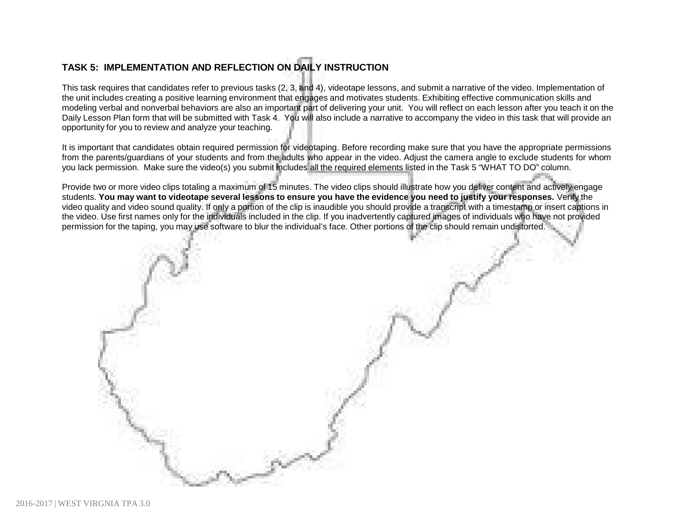# **TASK 5: IMPLEMENTATION AND REFLECTION ON DAILY INSTRUCTION**

This task requires that candidates refer to previous tasks (2, 3, and 4), videotape lessons, and submit a narrative of the video. Implementation of the unit includes creating a positive learning environment that engages and motivates students. Exhibiting effective communication skills and modeling verbal and nonverbal behaviors are also an important part of delivering your unit. You will reflect on each lesson after you teach it on the Daily Lesson Plan form that will be submitted with Task 4. You will also include a narrative to accompany the video in this task that will provide an opportunity for you to review and analyze your teaching.

It is important that candidates obtain required permission for videotaping. Before recording make sure that you have the appropriate permissions from the parents/guardians of your students and from the adults who appear in the video. Adjust the camera angle to exclude students for whom you lack permission. Make sure the video(s) you submit includes all the required elements listed in the Task 5 "WHAT TO DO" column.

Provide two or more video clips totaling a maximum of 15 minutes. The video clips should illustrate how you deliver content and actively engage students. You may want to videotape several lessons to ensure you have the evidence you need to justify your responses. Verify the video quality and video sound quality. If only a portion of the clip is inaudible you should provide a transcript with a timestamp or insert captions in the video. Use first names only for the individuals included in the clip. If you inadvertently captured images of individuals who have not provided permission for the taping, you may use software to blur the individual's face. Other portions of the clip should remain undistorted.

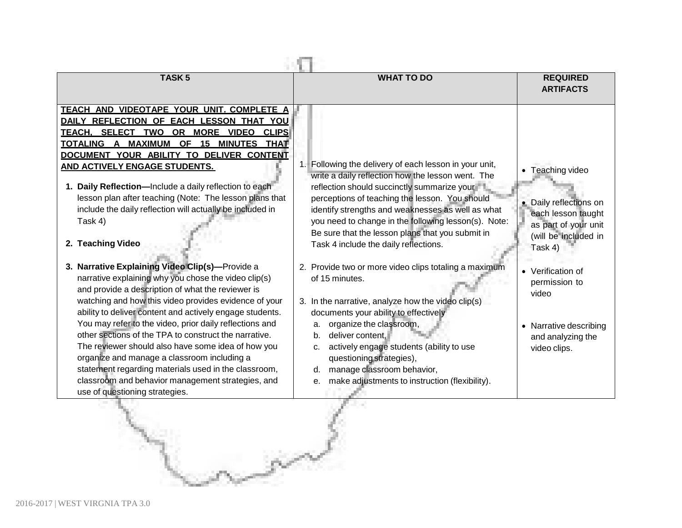| <b>TASK5</b>                                                                                                                                                                                                                                                                                                                                                                                                                                                                                                                                                                                                                                                                                                                                                                                                                                                                                                                                                                                                                                                                                                                        | <b>WHAT TO DO</b>                                                                                                                                                                                                                                                                                                                                                                                                                                                                                                                                                                                                                                                                                                                                                                                                                     | <b>REQUIRED</b><br><b>ARTIFACTS</b>                                                                                                                                                                                                       |
|-------------------------------------------------------------------------------------------------------------------------------------------------------------------------------------------------------------------------------------------------------------------------------------------------------------------------------------------------------------------------------------------------------------------------------------------------------------------------------------------------------------------------------------------------------------------------------------------------------------------------------------------------------------------------------------------------------------------------------------------------------------------------------------------------------------------------------------------------------------------------------------------------------------------------------------------------------------------------------------------------------------------------------------------------------------------------------------------------------------------------------------|---------------------------------------------------------------------------------------------------------------------------------------------------------------------------------------------------------------------------------------------------------------------------------------------------------------------------------------------------------------------------------------------------------------------------------------------------------------------------------------------------------------------------------------------------------------------------------------------------------------------------------------------------------------------------------------------------------------------------------------------------------------------------------------------------------------------------------------|-------------------------------------------------------------------------------------------------------------------------------------------------------------------------------------------------------------------------------------------|
| TEACH AND VIDEOTAPE YOUR UNIT. COMPLETE A<br>DAILY REFLECTION OF EACH LESSON THAT YOU<br>TEACH. SELECT TWO OR MORE VIDEO CLIPS<br>TOTALING A MAXIMUM OF 15 MINUTES THAT<br>DOCUMENT YOUR ABILITY TO DELIVER CONTENT<br>AND ACTIVELY ENGAGE STUDENTS.<br>1. Daily Reflection-Include a daily reflection to each<br>lesson plan after teaching (Note: The lesson plans that<br>include the daily reflection will actually be included in<br>Task 4)<br>2. Teaching Video<br>3. Narrative Explaining Video Clip(s)-Provide a<br>narrative explaining why you chose the video clip(s)<br>and provide a description of what the reviewer is<br>watching and how this video provides evidence of your<br>ability to deliver content and actively engage students.<br>You may refer to the video, prior daily reflections and<br>other sections of the TPA to construct the narrative.<br>The reviewer should also have some idea of how you<br>organize and manage a classroom including a<br>statement regarding materials used in the classroom,<br>classroom and behavior management strategies, and<br>use of questioning strategies. | 1. Following the delivery of each lesson in your unit,<br>write a daily reflection how the lesson went. The<br>reflection should succinctly summarize your<br>perceptions of teaching the lesson. You should<br>identify strengths and weaknesses as well as what<br>you need to change in the following lesson(s). Note:<br>Be sure that the lesson plans that you submit in<br>Task 4 include the daily reflections.<br>2. Provide two or more video clips totaling a maximum<br>of 15 minutes.<br>3. In the narrative, analyze how the video clip(s)<br>documents your ability to effectively<br>organize the classroom,<br>a.<br>deliver content.<br>b.<br>actively engage students (ability to use<br>c.<br>questioning strategies),<br>manage classroom behavior,<br>d.<br>make adjustments to instruction (flexibility).<br>е. | • Teaching video<br>• Daily reflections on<br>each lesson taught<br>as part of your unit<br>(will be included in<br>Task 4)<br>• Verification of<br>permission to<br>video<br>• Narrative describing<br>and analyzing the<br>video clips. |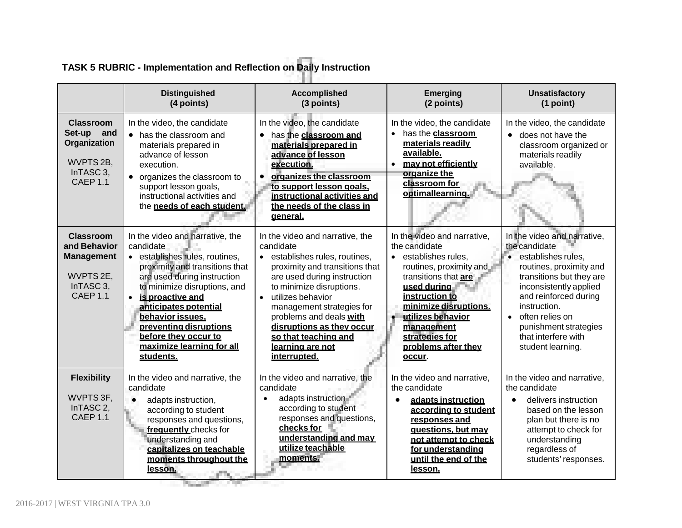|                                                                                                         | <b>Distinguished</b><br>(4 points)                                                                                                                                                                                                                                                                                                           | <b>Accomplished</b><br>(3 points)                                                                                                                                                                                                                                                                                                                            | <b>Emerging</b><br>(2 points)                                                                                                                                                                                                                                                      | <b>Unsatisfactory</b><br>(1 point)                                                                                                                                                                                                                                                     |
|---------------------------------------------------------------------------------------------------------|----------------------------------------------------------------------------------------------------------------------------------------------------------------------------------------------------------------------------------------------------------------------------------------------------------------------------------------------|--------------------------------------------------------------------------------------------------------------------------------------------------------------------------------------------------------------------------------------------------------------------------------------------------------------------------------------------------------------|------------------------------------------------------------------------------------------------------------------------------------------------------------------------------------------------------------------------------------------------------------------------------------|----------------------------------------------------------------------------------------------------------------------------------------------------------------------------------------------------------------------------------------------------------------------------------------|
| <b>Classroom</b><br>Set-up and<br>Organization<br>WVPTS 2B,<br>InTASC 3,<br>CAEP <sub>1.1</sub>         | In the video, the candidate<br>• has the classroom and<br>materials prepared in<br>advance of lesson<br>execution.<br>• organizes the classroom to<br>support lesson goals,<br>instructional activities and<br>the needs of each student.                                                                                                    | In the video, the candidate<br>has the classroom and<br>materials prepared in<br>advance of lesson<br>execution.<br>organizes the classroom<br>$\bullet$<br>to support lesson goals.<br>instructional activities and<br>the needs of the class in<br>general.                                                                                                | In the video, the candidate<br>has the <b>classroom</b><br>materials readily<br>available.<br>may not efficiently<br>$\bullet$<br>organize the<br>classroom for<br>optimallearning.                                                                                                | In the video, the candidate<br>does not have the<br>classroom organized or<br>materials readily<br>available.                                                                                                                                                                          |
| Classroom<br>and Behavior<br><b>Management</b><br>WVPTS 2E,<br>InTASC <sub>3</sub> ,<br><b>CAEP 1.1</b> | In the video and narrative, the<br>candidate<br>· establishes rules, routines,<br>proximity and transitions that<br>are used during instruction<br>to minimize disruptions, and<br>is proactive and<br>anticipates potential<br>behavior issues.<br>preventing disruptions<br>before they occur to<br>maximize learning for all<br>students. | In the video and narrative, the<br>candidate<br>establishes rules, routines,<br>proximity and transitions that<br>are used during instruction<br>to minimize disruptions.<br>utilizes behavior<br>$\bullet$<br>management strategies for<br>problems and deals with<br>disruptions as they occur<br>so that teaching and<br>learning are not<br>interrupted. | In the video and narrative,<br>the candidate<br>establishes rules.<br>$\bullet$<br>routines, proximity and<br>transitions that are<br>used during<br>instruction to<br>minimize disruptions.<br>utilizes behavior<br>management<br>strategies for<br>problems after they<br>occur. | In the video and narrative,<br>the candidate<br>establishes rules.<br>routines, proximity and<br>transitions but they are<br>inconsistently applied<br>and reinforced during<br>instruction.<br>• often relies on<br>punishment strategies<br>that interfere with<br>student learning. |
| <b>Flexibility</b><br>WVPTS 3F,<br>InTASC <sub>2</sub> ,<br><b>CAEP 1.1</b>                             | In the video and narrative, the<br>candidate<br>adapts instruction,<br>$\bullet$<br>according to student<br>responses and questions,<br>frequently checks for<br>understanding and<br>capitalizes on teachable<br>moments throughout the<br>lesson.                                                                                          | In the video and narrative, the<br>candidate<br>adapts instruction<br>$\bullet$<br>according to student<br>responses and questions,<br>checks for<br>understanding and may<br>utilize teachable<br>moments.                                                                                                                                                  | In the video and narrative,<br>the candidate<br>adapts instruction<br>according to student<br>responses and<br>questions, but may<br>not attempt to check<br>for understanding<br>until the end of the<br><u>lesson.</u>                                                           | In the video and narrative,<br>the candidate<br>delivers instruction<br>$\bullet$<br>based on the lesson<br>plan but there is no<br>attempt to check for<br>understanding<br>regardless of<br>students' responses.                                                                     |

# **TASK 5 RUBRIC - Implementation and Reflection on Daily Instruction**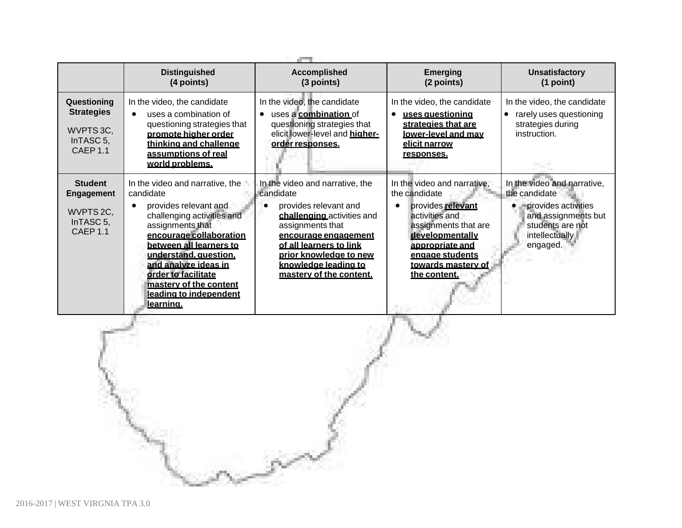|                                                                               | <b>Distinguished</b><br><b>Accomplished</b><br>(4 points)<br>(3 points)                                                                                                                                                                                                                                                       |                                                                                                                                                                                                                                                         | <b>Emerging</b><br>(2 points)                                                                                                                                                                              | <b>Unsatisfactory</b><br>(1 point)                                                                                                           |  |  |  |
|-------------------------------------------------------------------------------|-------------------------------------------------------------------------------------------------------------------------------------------------------------------------------------------------------------------------------------------------------------------------------------------------------------------------------|---------------------------------------------------------------------------------------------------------------------------------------------------------------------------------------------------------------------------------------------------------|------------------------------------------------------------------------------------------------------------------------------------------------------------------------------------------------------------|----------------------------------------------------------------------------------------------------------------------------------------------|--|--|--|
| Questioning<br><b>Strategies</b><br>WVPTS 3C,<br>InTASC 5,<br><b>CAEP 1.1</b> | In the video, the candidate<br>uses a combination of<br>questioning strategies that<br>promote higher order<br>thinking and challenge<br>assumptions of real<br>world problems.                                                                                                                                               | In the video, the candidate<br>uses a combination of<br>$\bullet$<br>questioning strategies that<br>elicit lower-level and higher-<br>order responses.                                                                                                  | In the video, the candidate<br><u>uses auestionina</u><br>strategies that are<br>lower-level and may<br><u>elicit narrow</u><br>responses.                                                                 | In the video, the candidate<br>rarely uses questioning<br>strategies during<br>instruction.                                                  |  |  |  |
| <b>Student</b><br>Engagement<br>WVPTS 2C,<br>In TASC $5$ ,<br><b>CAEP 1.1</b> | In the video and narrative, the<br>candidate<br>provides relevant and<br>challenging activities and<br>assignments that<br>encourage collaboration<br>between all learners to<br>understand, question.<br>and analyze ideas in<br>order to facilitate<br>mastery of the content<br>leading to independent<br><u>learning.</u> | In the video and narrative, the<br>candidate<br>provides relevant and<br>challenging activities and<br>assignments that<br>encourage engagement<br>of all learners to link<br>prior knowledge to new<br>knowledge leading to<br>mastery of the content. | In the video and narrative,<br>the candidate<br>provides relevant<br>activities and<br>assignments that are<br>developmentally<br>appropriate and<br>engage students<br>towards mastery of<br>the content. | In the video and narrative,<br>the candidate<br>provides activities<br>and assignments but<br>students are not<br>intellectually<br>engaged. |  |  |  |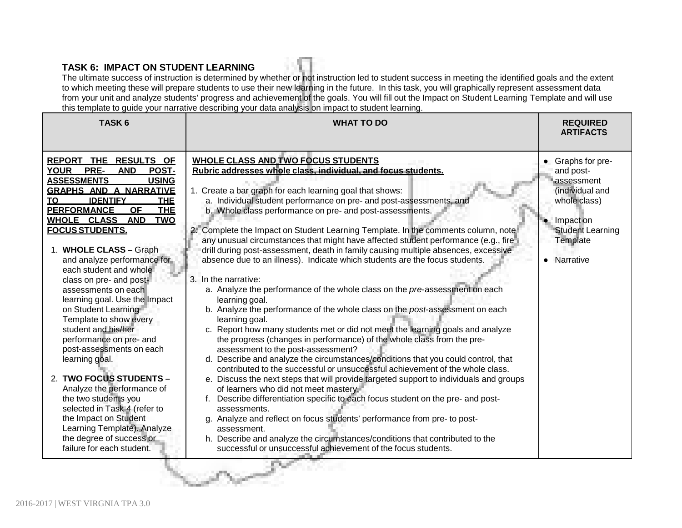# **TASK 6: IMPACT ON STUDENT LEARNING**

The ultimate success of instruction is determined by whether or not instruction led to student success in meeting the identified goals and the extent to which meeting these will prepare students to use their new learning in the future. In this task, you will graphically represent assessment data from your unit and analyze students' progress and achievement of the goals. You will fill out the Impact on Student Learning Template and will use this template to guide your narrative describing your data analysis on impact to student learning.

| TASK <sub>6</sub>                                                                                                                                                                                                                                                                                                                                                                                                                                                                                                                                                                                                                                                                                                                                                                                                                                             | and tomplate to gaine your narrative accomping your adia analysis on impact to stadent icaming.<br><b>WHAT TO DO</b>                                                                                                                                                                                                                                                                                                                                                                                                                                                                                                                                                                                                                                                                                                                                                                                                                                                                                                                                                                                                                                                                                                                                                                                                                                                                                                                                                                                                                                                                                                                                                                                                                          | <b>REQUIRED</b><br><b>ARTIFACTS</b>                                                                                                                         |
|---------------------------------------------------------------------------------------------------------------------------------------------------------------------------------------------------------------------------------------------------------------------------------------------------------------------------------------------------------------------------------------------------------------------------------------------------------------------------------------------------------------------------------------------------------------------------------------------------------------------------------------------------------------------------------------------------------------------------------------------------------------------------------------------------------------------------------------------------------------|-----------------------------------------------------------------------------------------------------------------------------------------------------------------------------------------------------------------------------------------------------------------------------------------------------------------------------------------------------------------------------------------------------------------------------------------------------------------------------------------------------------------------------------------------------------------------------------------------------------------------------------------------------------------------------------------------------------------------------------------------------------------------------------------------------------------------------------------------------------------------------------------------------------------------------------------------------------------------------------------------------------------------------------------------------------------------------------------------------------------------------------------------------------------------------------------------------------------------------------------------------------------------------------------------------------------------------------------------------------------------------------------------------------------------------------------------------------------------------------------------------------------------------------------------------------------------------------------------------------------------------------------------------------------------------------------------------------------------------------------------|-------------------------------------------------------------------------------------------------------------------------------------------------------------|
| REPORT THE RESULTS OF<br>POST-<br><b>YOUR</b><br><b>PRE-</b><br><b>AND</b><br><b>ASSESSMENTS</b><br><b>USING</b><br><b>GRAPHS AND A NARRATIVE</b><br><b>TO</b><br><b>IDENTIFY</b><br><b>THE</b><br><b>PERFORMANCE</b><br><b>THE</b><br>OF<br>WHOLE CLASS AND<br><b>TWO</b><br><b>FOCUS STUDENTS.</b><br>1. WHOLE CLASS - Graph<br>and analyze performance for<br>each student and whole<br>class on pre- and post-<br>assessments on each<br>learning goal. Use the Impact<br>on Student Learning<br>Template to show every<br>student and his/her<br>performance on pre- and<br>post-assessments on each<br>learning goal.<br>2. TWO FOCUS STUDENTS -<br>Analyze the performance of<br>the two students you<br>selected in Task 4 (refer to<br>the Impact on Student<br>Learning Template). Analyze<br>the degree of success or<br>failure for each student. | <b>WHOLE CLASS AND TWO FOCUS STUDENTS</b><br>Rubric addresses whole class, individual, and focus students.<br>1. Create a bar graph for each learning goal that shows:<br>a. Individual student performance on pre- and post-assessments, and<br>b. Whole class performance on pre- and post-assessments.<br>2. Complete the Impact on Student Learning Template. In the comments column, note<br>any unusual circumstances that might have affected student performance (e.g., fire-<br>drill during post-assessment, death in family causing multiple absences, excessive<br>absence due to an illness). Indicate which students are the focus students.<br>3. In the narrative:<br>a. Analyze the performance of the whole class on the pre-assessment on each<br>learning goal.<br>b. Analyze the performance of the whole class on the post-assessment on each<br>learning goal.<br>c. Report how many students met or did not meet the learning goals and analyze<br>the progress (changes in performance) of the whole class from the pre-<br>assessment to the post-assessment?<br>d. Describe and analyze the circumstances/conditions that you could control, that<br>contributed to the successful or unsuccessful achievement of the whole class.<br>e. Discuss the next steps that will provide targeted support to individuals and groups<br>of learners who did not meet mastery.<br>Describe differentiation specific to each focus student on the pre- and post-<br>assessments.<br>g. Analyze and reflect on focus students' performance from pre- to post-<br>assessment.<br>h. Describe and analyze the circumstances/conditions that contributed to the<br>successful or unsuccessful achievement of the focus students. | Graphs for pre-<br>and post-<br>assessment<br>(individual and<br>whole class)<br>Impact on<br><b>Student Learning</b><br>Template<br>Narrative<br>$\bullet$ |
|                                                                                                                                                                                                                                                                                                                                                                                                                                                                                                                                                                                                                                                                                                                                                                                                                                                               |                                                                                                                                                                                                                                                                                                                                                                                                                                                                                                                                                                                                                                                                                                                                                                                                                                                                                                                                                                                                                                                                                                                                                                                                                                                                                                                                                                                                                                                                                                                                                                                                                                                                                                                                               |                                                                                                                                                             |

S. S. Sand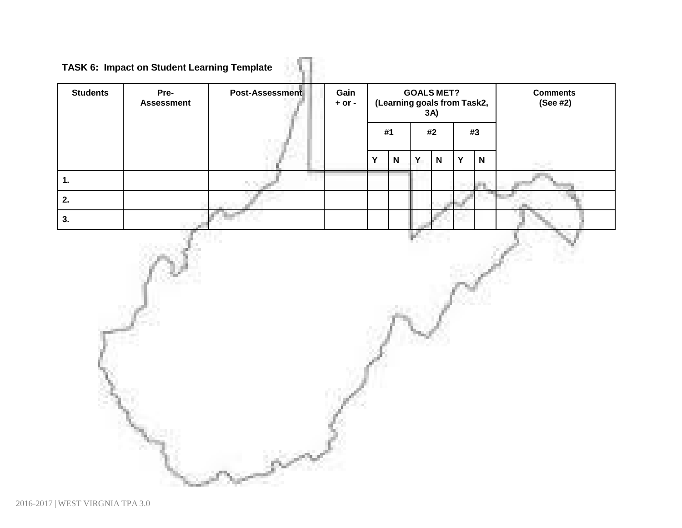**TASK 6: Impact on Student Learning Template**

| <b>Students</b> | Pre-<br><b>Assessment</b> | Post-Assessment | Gain<br>$+$ or $-$ | <b>GOALS MET?</b><br>(Learning goals from Task2,<br>$3A$ ) |                           |   |              | <b>Comments</b><br>(See #2) |             |  |
|-----------------|---------------------------|-----------------|--------------------|------------------------------------------------------------|---------------------------|---|--------------|-----------------------------|-------------|--|
|                 |                           |                 |                    |                                                            | #1                        |   | #2           |                             | #3          |  |
|                 |                           |                 |                    | $\mathbf Y$                                                | $\boldsymbol{\mathsf{N}}$ | Y | $\mathsf{N}$ | Y                           | $\mathsf N$ |  |
| 1.              |                           |                 |                    |                                                            |                           |   |              |                             |             |  |
| 2.<br>3.        |                           |                 |                    |                                                            |                           |   |              |                             |             |  |
|                 |                           |                 |                    |                                                            |                           |   |              |                             |             |  |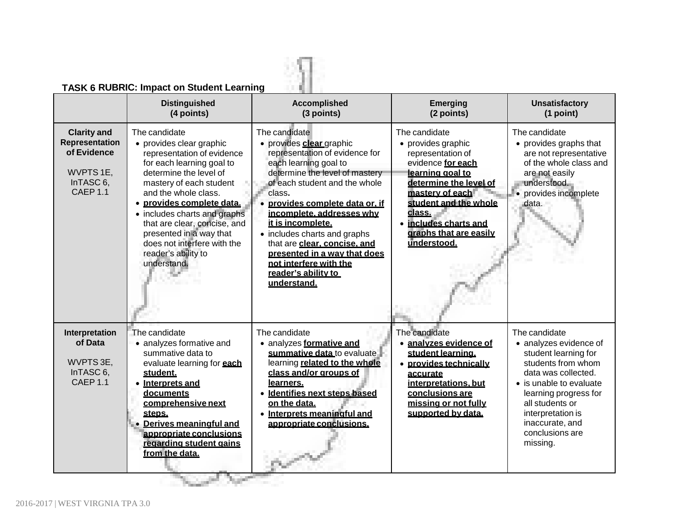# **TASK 6 RUBRIC: Impact on Student Learning**

|                                                                                                      | <b>TASK 6 RUBRIC: Impact on Student Learning</b><br><b>Distinguished</b><br>(4 points)                                                                                                                                                                                                                                                                                         | <b>Accomplished</b><br>(3 points)                                                                                                                                                                                                                                                                                                                                                                                                    | <b>Emerging</b><br>(2 points)                                                                                                                                                                                                                       | <b>Unsatisfactory</b><br>(1 point)                                                                                                                                                                                                                         |
|------------------------------------------------------------------------------------------------------|--------------------------------------------------------------------------------------------------------------------------------------------------------------------------------------------------------------------------------------------------------------------------------------------------------------------------------------------------------------------------------|--------------------------------------------------------------------------------------------------------------------------------------------------------------------------------------------------------------------------------------------------------------------------------------------------------------------------------------------------------------------------------------------------------------------------------------|-----------------------------------------------------------------------------------------------------------------------------------------------------------------------------------------------------------------------------------------------------|------------------------------------------------------------------------------------------------------------------------------------------------------------------------------------------------------------------------------------------------------------|
| <b>Clarity and</b><br>Representation<br>of Evidence<br>WVPTS 1E,<br>InTASC 6,<br>CAEP <sub>1.1</sub> | The candidate<br>• provides clear graphic<br>representation of evidence<br>for each learning goal to<br>determine the level of<br>mastery of each student<br>and the whole class.<br>· provides complete data.<br>• includes charts and graphs<br>that are clear, concise, and<br>presented in a way that<br>does not interfere with the<br>reader's ability to<br>understand. | The candidate<br>• provides clear graphic<br>representation of evidence for<br>each learning goal to<br>determine the level of mastery<br>of each student and the whole<br>class.<br>provides complete data or. if<br>incomplete. addresses why<br>it is incomplete.<br>• includes charts and graphs<br>that are clear, concise, and<br>presented in a way that does<br>not interfere with the<br>reader's ability to<br>understand. | The candidate<br>• provides graphic<br>representation of<br>evidence for each<br>learning goal to<br>determine the level of<br>mastery of each<br>student and the whole<br>class.<br>• includes charts and<br>graphs that are easily<br>understood. | The candidate<br>• provides graphs that<br>are not representative<br>of the whole class and<br>are not easily<br>understood.<br>• provides incomplete<br>data.                                                                                             |
| Interpretation<br>of Data<br>WVPTS 3E,<br>InTASC <sub>6</sub> .<br><b>CAEP 1.1</b>                   | The candidate<br>• analyzes formative and<br>summative data to<br>evaluate learning for <b>each</b><br>student.<br>• Interprets and<br>documents<br>comprehensive next<br>steps.<br>• Derives meaningful and<br>appropriate conclusions<br>regarding student gains<br>from the data.                                                                                           | The candidate<br>• analyzes formative and<br>summative data to evaluate<br>learning related to the whole<br>class and/or groups of<br>learners.<br>· Identifies next steps based<br>on the data.<br>• Interprets meaningful and<br>appropriate conclusions.                                                                                                                                                                          | The candidate<br>· analyzes evidence of<br>student learning.<br>• provides technically<br><u>accurate</u><br>interpretations, but<br>conclusions are<br>missing or not fully<br>supported by data.                                                  | The candidate<br>• analyzes evidence of<br>student learning for<br>students from whom<br>data was collected.<br>• is unable to evaluate<br>learning progress for<br>all students or<br>interpretation is<br>inaccurate, and<br>conclusions are<br>missing. |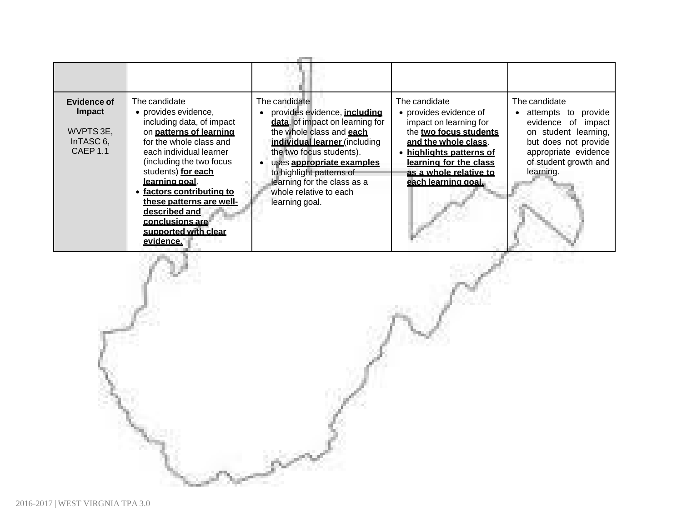| Evidence of<br><b>Impact</b><br>WVPTS 3E,<br>InTASC 6,<br>CAEP <sub>1.1</sub> | The candidate<br>• provides evidence,<br>including data, of impact<br>on patterns of learning<br>for the whole class and<br>each individual learner<br>(including the two focus<br>students) for each<br>learning goal.<br>factors contributing to<br>these patterns are well-<br>described and<br>conclusions are<br>supported with clear<br>evidence. | The candidate<br>provides evidence, <i>including</i><br>data, of impact on learning for<br>the whole class and each<br>individual learner (including<br>the two focus students).<br>uses appropriate examples<br>to highlight patterns of<br>learning for the class as a<br>whole relative to each<br>learning goal. | The candidate<br>• provides evidence of<br>impact on learning for<br>the two focus students<br>and the whole class.<br>• highlights patterns of<br>learning for the class<br>as a whole relative to<br>each learning goal. | The candidate<br>provide<br>attempts<br>to<br>evidence of<br>impact<br>on student learning,<br>but does not provide<br>appropriate evidence<br>of student growth and<br>learning. |
|-------------------------------------------------------------------------------|---------------------------------------------------------------------------------------------------------------------------------------------------------------------------------------------------------------------------------------------------------------------------------------------------------------------------------------------------------|----------------------------------------------------------------------------------------------------------------------------------------------------------------------------------------------------------------------------------------------------------------------------------------------------------------------|----------------------------------------------------------------------------------------------------------------------------------------------------------------------------------------------------------------------------|-----------------------------------------------------------------------------------------------------------------------------------------------------------------------------------|

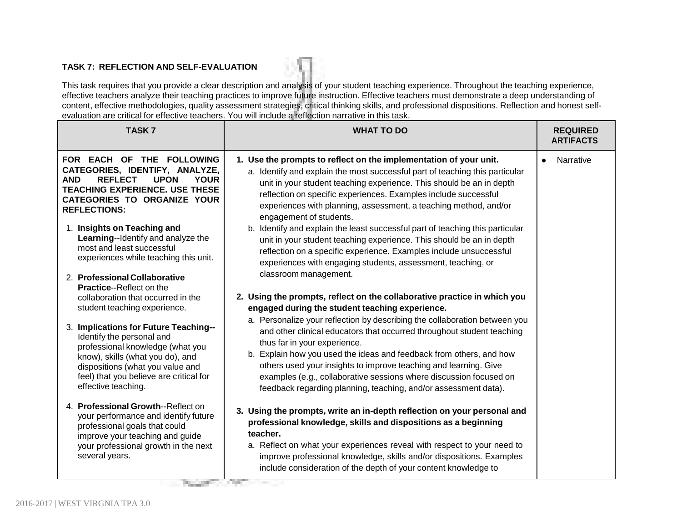#### **TASK 7: REFLECTION AND SELF-EVALUATION**

This task requires that you provide a clear description and analysis of your student teaching experience. Throughout the teaching experience, effective teachers analyze their teaching practices to improve future instruction. Effective teachers must demonstrate a deep understanding of content, effective methodologies, quality assessment strategies, critical thinking skills, and professional dispositions. Reflection and honest selfevaluation are critical for effective teachers. You will include a reflection narrative in this task.

| <b>TASK7</b>                                                                                                                                                                                                                                                                                                                                                               | <b>WHAT TO DO</b>                                                                                                                                                                                                                                                                                                                                                                                                                                                                                                                                                                                                          | <b>REQUIRED</b><br><b>ARTIFACTS</b> |
|----------------------------------------------------------------------------------------------------------------------------------------------------------------------------------------------------------------------------------------------------------------------------------------------------------------------------------------------------------------------------|----------------------------------------------------------------------------------------------------------------------------------------------------------------------------------------------------------------------------------------------------------------------------------------------------------------------------------------------------------------------------------------------------------------------------------------------------------------------------------------------------------------------------------------------------------------------------------------------------------------------------|-------------------------------------|
| FOR EACH OF THE FOLLOWING<br>CATEGORIES, IDENTIFY, ANALYZE,<br><b>AND</b><br><b>REFLECT</b><br><b>UPON</b><br><b>YOUR</b><br><b>TEACHING EXPERIENCE, USE THESE</b><br><b>CATEGORIES TO ORGANIZE YOUR</b><br><b>REFLECTIONS:</b><br>1. Insights on Teaching and<br>Learning--Identify and analyze the<br>most and least successful<br>experiences while teaching this unit. | 1. Use the prompts to reflect on the implementation of your unit.<br>a. Identify and explain the most successful part of teaching this particular<br>unit in your student teaching experience. This should be an in depth<br>reflection on specific experiences. Examples include successful<br>experiences with planning, assessment, a teaching method, and/or<br>engagement of students.<br>b. Identify and explain the least successful part of teaching this particular<br>unit in your student teaching experience. This should be an in depth<br>reflection on a specific experience. Examples include unsuccessful | Narrative<br>$\bullet$              |
| 2. Professional Collaborative<br><b>Practice--Reflect on the</b><br>collaboration that occurred in the<br>student teaching experience.<br>3. Implications for Future Teaching--<br>Identify the personal and<br>professional knowledge (what you<br>know), skills (what you do), and<br>dispositions (what you value and                                                   | experiences with engaging students, assessment, teaching, or<br>classroom management.<br>2. Using the prompts, reflect on the collaborative practice in which you<br>engaged during the student teaching experience.<br>a. Personalize your reflection by describing the collaboration between you<br>and other clinical educators that occurred throughout student teaching<br>thus far in your experience.<br>b. Explain how you used the ideas and feedback from others, and how<br>others used your insights to improve teaching and learning. Give                                                                    |                                     |
| feel) that you believe are critical for<br>effective teaching.<br>4. Professional Growth--Reflect on<br>your performance and identify future<br>professional goals that could<br>improve your teaching and guide<br>your professional growth in the next<br>several years.                                                                                                 | examples (e.g., collaborative sessions where discussion focused on<br>feedback regarding planning, teaching, and/or assessment data).<br>3. Using the prompts, write an in-depth reflection on your personal and<br>professional knowledge, skills and dispositions as a beginning<br>teacher.<br>a. Reflect on what your experiences reveal with respect to your need to<br>improve professional knowledge, skills and/or dispositions. Examples<br>include consideration of the depth of your content knowledge to                                                                                                       |                                     |

The property of the Con-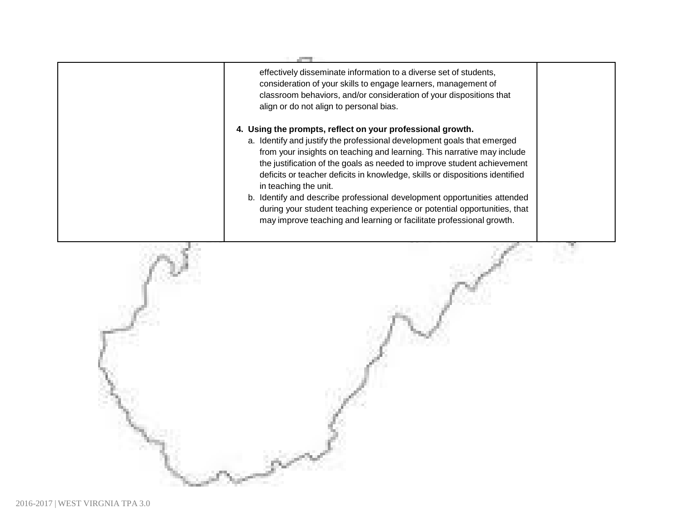

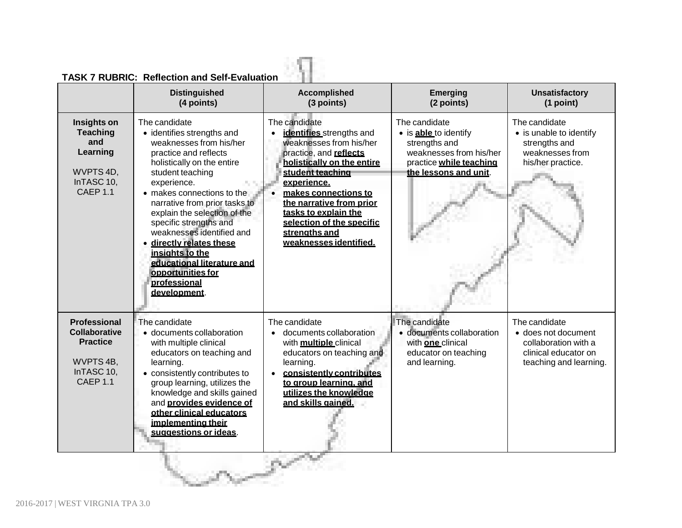|                                                                                                              | <b>Distinguished</b><br>(4 points)                                                                                                                                                                                                                                                                                                                                                                                                                     | <b>Accomplished</b><br>(3 points)                                                                                                                                                                                                                                                                                                | <b>Emerging</b><br>(2 points)                                                                                                          | <b>Unsatisfactory</b><br>(1 point)                                                                             |
|--------------------------------------------------------------------------------------------------------------|--------------------------------------------------------------------------------------------------------------------------------------------------------------------------------------------------------------------------------------------------------------------------------------------------------------------------------------------------------------------------------------------------------------------------------------------------------|----------------------------------------------------------------------------------------------------------------------------------------------------------------------------------------------------------------------------------------------------------------------------------------------------------------------------------|----------------------------------------------------------------------------------------------------------------------------------------|----------------------------------------------------------------------------------------------------------------|
| Insights on<br><b>Teaching</b><br>and<br>Learning<br>WVPTS 4D,<br>InTASC 10,<br>CAEP <sub>1.1</sub>          | The candidate<br>• identifies strengths and<br>weaknesses from his/her<br>practice and reflects<br>holistically on the entire<br>student teaching<br>experience.<br>• makes connections to the<br>narrative from prior tasks to<br>explain the selection of the<br>specific strengths and<br>weaknesses identified and<br>directly relates these<br>insights to the<br>educational literature and<br>opportunities for<br>professional<br>development. | The candidate<br>identifies strengths and<br>weaknesses from his/her<br>practice, and reflects<br>holistically on the entire<br>student teaching<br>experience.<br>makes connections to<br>$\bullet$<br>the narrative from prior<br>tasks to explain the<br>selection of the specific<br>strengths and<br>weaknesses identified. | The candidate<br>· is able to identify<br>strengths and<br>weaknesses from his/her<br>practice while teaching<br>the lessons and unit. | The candidate<br>• is unable to identify<br>strengths and<br>weaknesses from<br>his/her practice.              |
| <b>Professional</b><br><b>Collaborative</b><br><b>Practice</b><br>WVPTS 4B,<br>InTASC 10,<br><b>CAEP 1.1</b> | The candidate<br>· documents collaboration<br>with multiple clinical<br>educators on teaching and<br>learning.<br>• consistently contributes to<br>group learning, utilizes the<br>knowledge and skills gained<br>and provides evidence of<br>other clinical educators<br>implementing their<br>suggestions or ideas.                                                                                                                                  | The candidate<br>documents collaboration<br>with multiple clinical<br>educators on teaching and<br>learning.<br>consistently contributes<br>to group learning, and<br>utilizes the knowledge<br>and skills gained.                                                                                                               | The candidate<br>· documents collaboration<br>with <b>one</b> clinical<br>educator on teaching<br>and learning.                        | The candidate<br>• does not document<br>collaboration with a<br>clinical educator on<br>teaching and learning. |

V

# **TASK 7 RUBRIC: Reflection and Self-Evaluation**